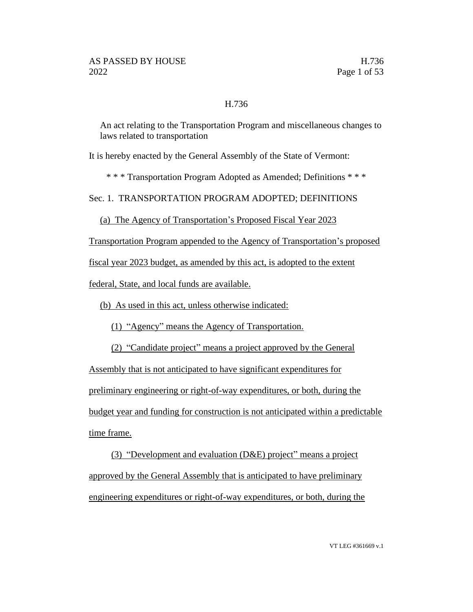#### H.736

An act relating to the Transportation Program and miscellaneous changes to laws related to transportation

It is hereby enacted by the General Assembly of the State of Vermont:

\* \* \* Transportation Program Adopted as Amended; Definitions \* \* \*

Sec. 1. TRANSPORTATION PROGRAM ADOPTED; DEFINITIONS

(a) The Agency of Transportation's Proposed Fiscal Year 2023

Transportation Program appended to the Agency of Transportation's proposed

fiscal year 2023 budget, as amended by this act, is adopted to the extent

federal, State, and local funds are available.

(b) As used in this act, unless otherwise indicated:

(1) "Agency" means the Agency of Transportation.

(2) "Candidate project" means a project approved by the General

Assembly that is not anticipated to have significant expenditures for preliminary engineering or right-of-way expenditures, or both, during the budget year and funding for construction is not anticipated within a predictable time frame.

(3) "Development and evaluation (D&E) project" means a project approved by the General Assembly that is anticipated to have preliminary engineering expenditures or right-of-way expenditures, or both, during the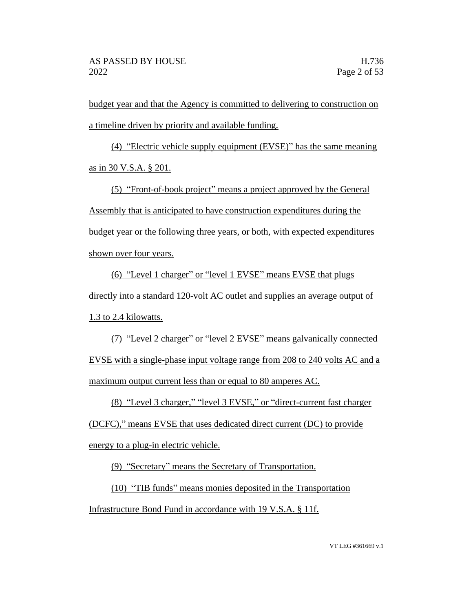budget year and that the Agency is committed to delivering to construction on a timeline driven by priority and available funding.

(4) "Electric vehicle supply equipment (EVSE)" has the same meaning as in 30 V.S.A. § 201.

(5) "Front-of-book project" means a project approved by the General Assembly that is anticipated to have construction expenditures during the budget year or the following three years, or both, with expected expenditures shown over four years.

(6) "Level 1 charger" or "level 1 EVSE" means EVSE that plugs directly into a standard 120-volt AC outlet and supplies an average output of 1.3 to 2.4 kilowatts.

(7) "Level 2 charger" or "level 2 EVSE" means galvanically connected EVSE with a single-phase input voltage range from 208 to 240 volts AC and a maximum output current less than or equal to 80 amperes AC.

(8) "Level 3 charger," "level 3 EVSE," or "direct-current fast charger

(DCFC)," means EVSE that uses dedicated direct current (DC) to provide energy to a plug-in electric vehicle.

(9) "Secretary" means the Secretary of Transportation.

(10) "TIB funds" means monies deposited in the Transportation

Infrastructure Bond Fund in accordance with 19 V.S.A. § 11f.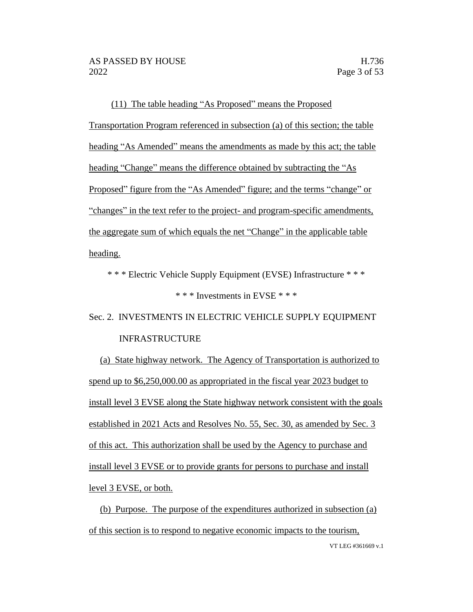(11) The table heading "As Proposed" means the Proposed Transportation Program referenced in subsection (a) of this section; the table heading "As Amended" means the amendments as made by this act; the table heading "Change" means the difference obtained by subtracting the "As Proposed" figure from the "As Amended" figure; and the terms "change" or "changes" in the text refer to the project- and program-specific amendments, the aggregate sum of which equals the net "Change" in the applicable table heading.

\* \* \* Electric Vehicle Supply Equipment (EVSE) Infrastructure \* \* \*

# \* \* \* Investments in EVSE \* \* \*

# Sec. 2. INVESTMENTS IN ELECTRIC VEHICLE SUPPLY EQUIPMENT INFRASTRUCTURE

(a) State highway network. The Agency of Transportation is authorized to spend up to \$6,250,000.00 as appropriated in the fiscal year 2023 budget to install level 3 EVSE along the State highway network consistent with the goals established in 2021 Acts and Resolves No. 55, Sec. 30, as amended by Sec. 3 of this act. This authorization shall be used by the Agency to purchase and install level 3 EVSE or to provide grants for persons to purchase and install level 3 EVSE, or both.

(b) Purpose. The purpose of the expenditures authorized in subsection (a) of this section is to respond to negative economic impacts to the tourism,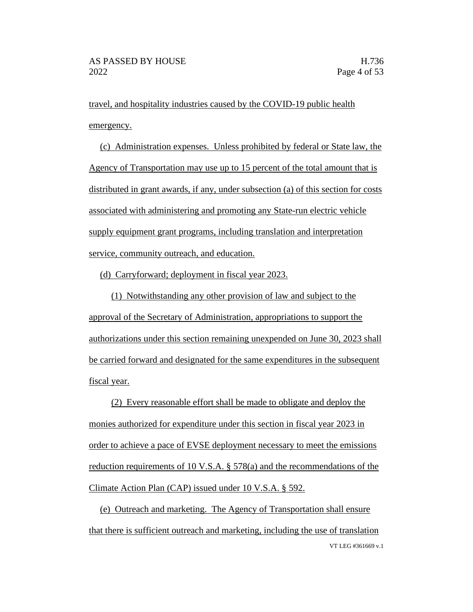travel, and hospitality industries caused by the COVID-19 public health emergency.

(c) Administration expenses. Unless prohibited by federal or State law, the Agency of Transportation may use up to 15 percent of the total amount that is distributed in grant awards, if any, under subsection (a) of this section for costs associated with administering and promoting any State-run electric vehicle supply equipment grant programs, including translation and interpretation service, community outreach, and education.

(d) Carryforward; deployment in fiscal year 2023.

(1) Notwithstanding any other provision of law and subject to the approval of the Secretary of Administration, appropriations to support the authorizations under this section remaining unexpended on June 30, 2023 shall be carried forward and designated for the same expenditures in the subsequent fiscal year.

(2) Every reasonable effort shall be made to obligate and deploy the monies authorized for expenditure under this section in fiscal year 2023 in order to achieve a pace of EVSE deployment necessary to meet the emissions reduction requirements of 10 V.S.A. § 578(a) and the recommendations of the Climate Action Plan (CAP) issued under 10 V.S.A. § 592.

VT LEG #361669 v.1 (e) Outreach and marketing. The Agency of Transportation shall ensure that there is sufficient outreach and marketing, including the use of translation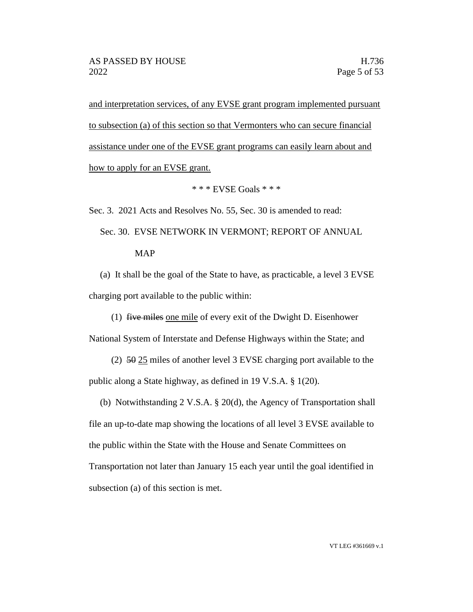and interpretation services, of any EVSE grant program implemented pursuant to subsection (a) of this section so that Vermonters who can secure financial assistance under one of the EVSE grant programs can easily learn about and how to apply for an EVSE grant.

\* \* \* EVSE Goals \* \* \*

Sec. 3. 2021 Acts and Resolves No. 55, Sec. 30 is amended to read:

Sec. 30. EVSE NETWORK IN VERMONT; REPORT OF ANNUAL MAP

(a) It shall be the goal of the State to have, as practicable, a level 3 EVSE charging port available to the public within:

(1) five miles one mile of every exit of the Dwight D. Eisenhower

National System of Interstate and Defense Highways within the State; and

- (2) 50 25 miles of another level 3 EVSE charging port available to the public along a State highway, as defined in 19 V.S.A. § 1(20).
- (b) Notwithstanding 2 V.S.A. § 20(d), the Agency of Transportation shall file an up-to-date map showing the locations of all level 3 EVSE available to the public within the State with the House and Senate Committees on Transportation not later than January 15 each year until the goal identified in subsection (a) of this section is met.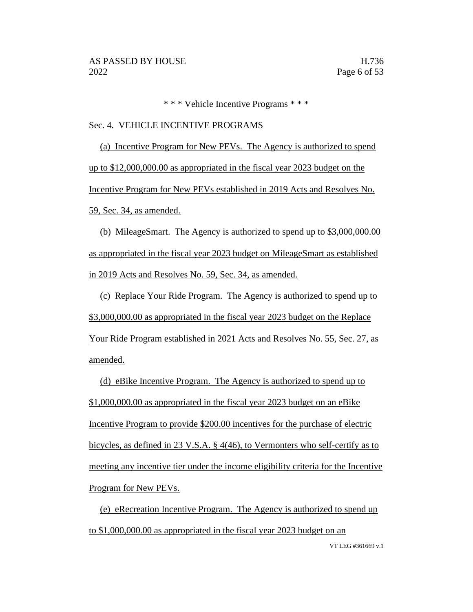\* \* \* Vehicle Incentive Programs \* \* \*

#### Sec. 4. VEHICLE INCENTIVE PROGRAMS

(a) Incentive Program for New PEVs. The Agency is authorized to spend up to \$12,000,000.00 as appropriated in the fiscal year 2023 budget on the Incentive Program for New PEVs established in 2019 Acts and Resolves No. 59, Sec. 34, as amended.

(b) MileageSmart. The Agency is authorized to spend up to \$3,000,000.00 as appropriated in the fiscal year 2023 budget on MileageSmart as established in 2019 Acts and Resolves No. 59, Sec. 34, as amended.

(c) Replace Your Ride Program. The Agency is authorized to spend up to \$3,000,000.00 as appropriated in the fiscal year 2023 budget on the Replace Your Ride Program established in 2021 Acts and Resolves No. 55, Sec. 27, as amended.

(d) eBike Incentive Program. The Agency is authorized to spend up to \$1,000,000.00 as appropriated in the fiscal year 2023 budget on an eBike Incentive Program to provide \$200.00 incentives for the purchase of electric bicycles, as defined in 23 V.S.A. § 4(46), to Vermonters who self-certify as to meeting any incentive tier under the income eligibility criteria for the Incentive Program for New PEVs.

VT LEG #361669 v.1 (e) eRecreation Incentive Program. The Agency is authorized to spend up to \$1,000,000.00 as appropriated in the fiscal year 2023 budget on an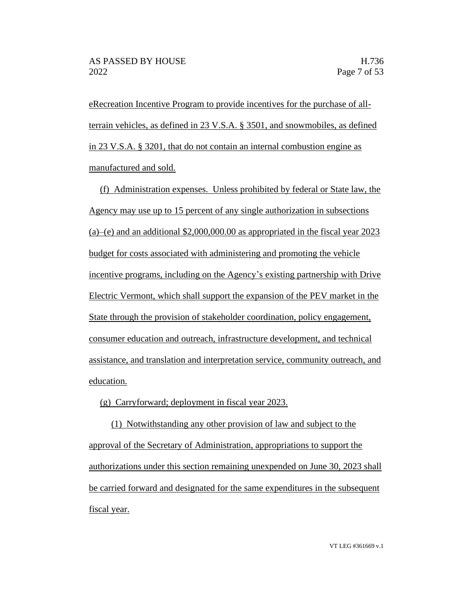eRecreation Incentive Program to provide incentives for the purchase of allterrain vehicles, as defined in 23 V.S.A. § 3501, and snowmobiles, as defined in 23 V.S.A. § 3201, that do not contain an internal combustion engine as manufactured and sold.

(f) Administration expenses. Unless prohibited by federal or State law, the Agency may use up to 15 percent of any single authorization in subsections (a)–(e) and an additional \$2,000,000.00 as appropriated in the fiscal year 2023 budget for costs associated with administering and promoting the vehicle incentive programs, including on the Agency's existing partnership with Drive Electric Vermont, which shall support the expansion of the PEV market in the State through the provision of stakeholder coordination, policy engagement, consumer education and outreach, infrastructure development, and technical assistance, and translation and interpretation service, community outreach, and education.

(g) Carryforward; deployment in fiscal year 2023.

(1) Notwithstanding any other provision of law and subject to the approval of the Secretary of Administration, appropriations to support the authorizations under this section remaining unexpended on June 30, 2023 shall be carried forward and designated for the same expenditures in the subsequent fiscal year.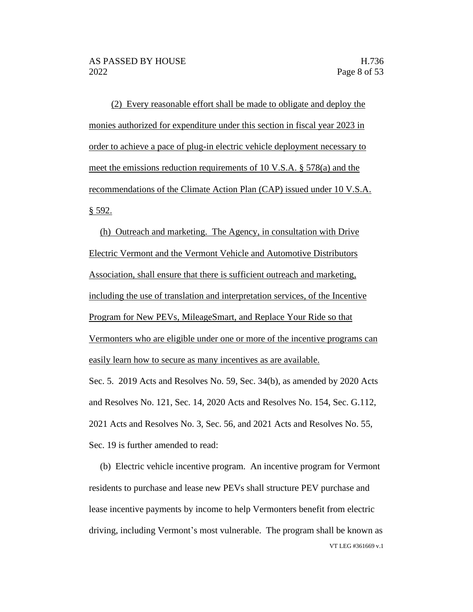(2) Every reasonable effort shall be made to obligate and deploy the monies authorized for expenditure under this section in fiscal year 2023 in order to achieve a pace of plug-in electric vehicle deployment necessary to meet the emissions reduction requirements of 10 V.S.A. § 578(a) and the recommendations of the Climate Action Plan (CAP) issued under 10 V.S.A. § 592.

(h) Outreach and marketing. The Agency, in consultation with Drive Electric Vermont and the Vermont Vehicle and Automotive Distributors Association, shall ensure that there is sufficient outreach and marketing, including the use of translation and interpretation services, of the Incentive Program for New PEVs, MileageSmart, and Replace Your Ride so that Vermonters who are eligible under one or more of the incentive programs can easily learn how to secure as many incentives as are available.

Sec. 5. 2019 Acts and Resolves No. 59, Sec. 34(b), as amended by 2020 Acts and Resolves No. 121, Sec. 14, 2020 Acts and Resolves No. 154, Sec. G.112, 2021 Acts and Resolves No. 3, Sec. 56, and 2021 Acts and Resolves No. 55, Sec. 19 is further amended to read:

VT LEG #361669 v.1 (b) Electric vehicle incentive program. An incentive program for Vermont residents to purchase and lease new PEVs shall structure PEV purchase and lease incentive payments by income to help Vermonters benefit from electric driving, including Vermont's most vulnerable. The program shall be known as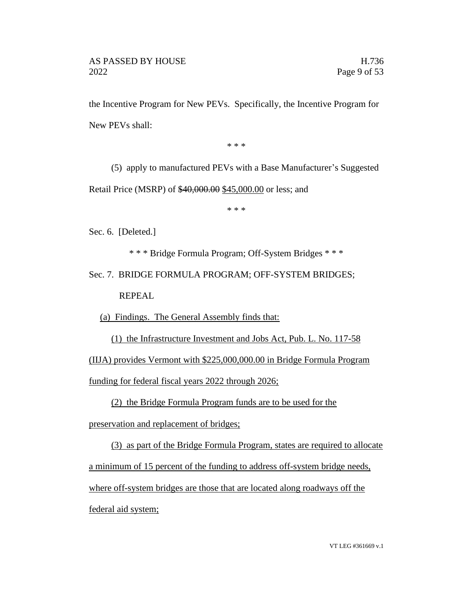the Incentive Program for New PEVs. Specifically, the Incentive Program for New PEVs shall:

\* \* \*

(5) apply to manufactured PEVs with a Base Manufacturer's Suggested Retail Price (MSRP) of \$40,000.00 \$45,000.00 or less; and

\* \* \*

Sec. 6. [Deleted.]

\* \* \* Bridge Formula Program; Off-System Bridges \* \* \*

Sec. 7. BRIDGE FORMULA PROGRAM; OFF-SYSTEM BRIDGES; REPEAL

(a) Findings. The General Assembly finds that:

(1) the Infrastructure Investment and Jobs Act, Pub. L. No. 117-58

(IIJA) provides Vermont with \$225,000,000.00 in Bridge Formula Program

funding for federal fiscal years 2022 through 2026;

(2) the Bridge Formula Program funds are to be used for the

preservation and replacement of bridges;

(3) as part of the Bridge Formula Program, states are required to allocate a minimum of 15 percent of the funding to address off-system bridge needs, where off-system bridges are those that are located along roadways off the federal aid system;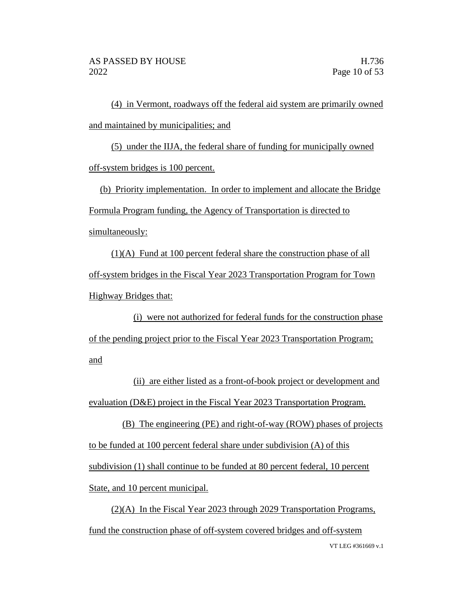(4) in Vermont, roadways off the federal aid system are primarily owned and maintained by municipalities; and

(5) under the IIJA, the federal share of funding for municipally owned off-system bridges is 100 percent.

(b) Priority implementation. In order to implement and allocate the Bridge Formula Program funding, the Agency of Transportation is directed to simultaneously:

(1)(A) Fund at 100 percent federal share the construction phase of all off-system bridges in the Fiscal Year 2023 Transportation Program for Town Highway Bridges that:

(i) were not authorized for federal funds for the construction phase of the pending project prior to the Fiscal Year 2023 Transportation Program; and

(ii) are either listed as a front-of-book project or development and evaluation (D&E) project in the Fiscal Year 2023 Transportation Program.

(B) The engineering (PE) and right-of-way (ROW) phases of projects to be funded at 100 percent federal share under subdivision (A) of this subdivision (1) shall continue to be funded at 80 percent federal, 10 percent State, and 10 percent municipal.

VT LEG #361669 v.1 (2)(A) In the Fiscal Year 2023 through 2029 Transportation Programs, fund the construction phase of off-system covered bridges and off-system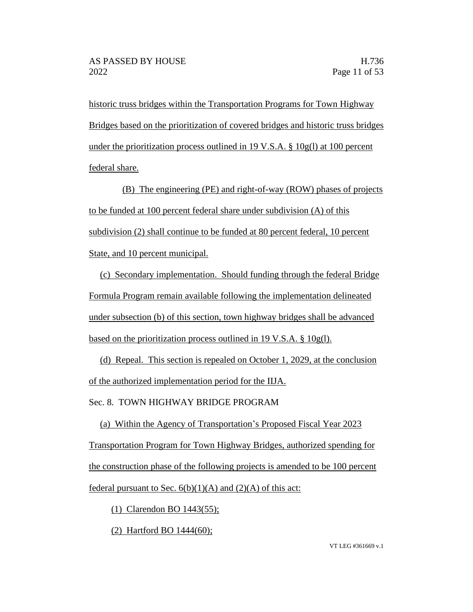historic truss bridges within the Transportation Programs for Town Highway Bridges based on the prioritization of covered bridges and historic truss bridges under the prioritization process outlined in 19 V.S.A.  $\S$  10g(l) at 100 percent federal share.

(B) The engineering (PE) and right-of-way (ROW) phases of projects to be funded at 100 percent federal share under subdivision (A) of this subdivision (2) shall continue to be funded at 80 percent federal, 10 percent State, and 10 percent municipal.

(c) Secondary implementation. Should funding through the federal Bridge Formula Program remain available following the implementation delineated under subsection (b) of this section, town highway bridges shall be advanced based on the prioritization process outlined in 19 V.S.A. § 10g(l).

(d) Repeal. This section is repealed on October 1, 2029, at the conclusion of the authorized implementation period for the IIJA.

Sec. 8. TOWN HIGHWAY BRIDGE PROGRAM

(a) Within the Agency of Transportation's Proposed Fiscal Year 2023 Transportation Program for Town Highway Bridges, authorized spending for the construction phase of the following projects is amended to be 100 percent federal pursuant to Sec.  $6(b)(1)(A)$  and  $(2)(A)$  of this act:

(1) Clarendon BO 1443(55);

(2) Hartford BO 1444(60);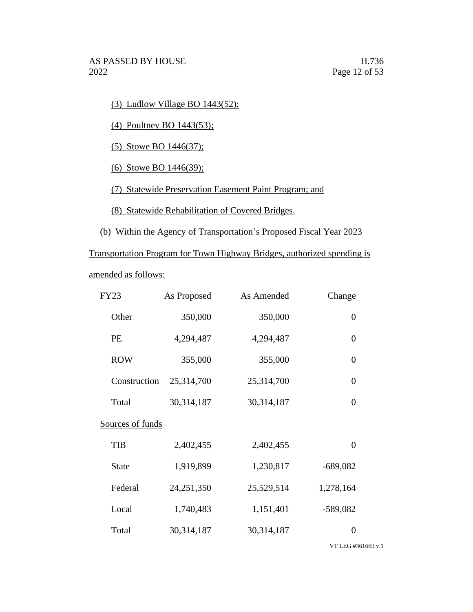(3) Ludlow Village BO 1443(52);

(4) Poultney BO 1443(53);

(5) Stowe BO 1446(37);

(6) Stowe BO 1446(39);

(7) Statewide Preservation Easement Paint Program; and

(8) Statewide Rehabilitation of Covered Bridges.

(b) Within the Agency of Transportation's Proposed Fiscal Year 2023

Transportation Program for Town Highway Bridges, authorized spending is amended as follows:

| FY23             | <b>As Proposed</b> | <b>As Amended</b> | <b>Change</b>  |
|------------------|--------------------|-------------------|----------------|
| Other            | 350,000            | 350,000           | $\overline{0}$ |
| <b>PE</b>        | 4,294,487          | 4,294,487         | $\overline{0}$ |
| <b>ROW</b>       | 355,000            | 355,000           | $\overline{0}$ |
| Construction     | 25,314,700         | 25,314,700        | $\overline{0}$ |
| Total            | 30,314,187         | 30,314,187        | $\overline{0}$ |
| Sources of funds |                    |                   |                |
| <b>TIB</b>       | 2,402,455          | 2,402,455         | $\overline{0}$ |
| <b>State</b>     | 1,919,899          | 1,230,817         | $-689,082$     |
| Federal          | 24, 251, 350       | 25,529,514        | 1,278,164      |
| Local            | 1,740,483          | 1,151,401         | $-589,082$     |
| Total            | 30,314,187         | 30,314,187        | 0              |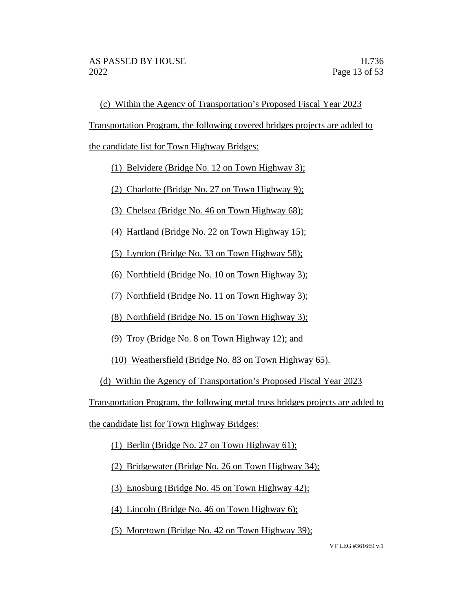(c) Within the Agency of Transportation's Proposed Fiscal Year 2023

Transportation Program, the following covered bridges projects are added to

the candidate list for Town Highway Bridges:

(1) Belvidere (Bridge No. 12 on Town Highway 3);

(2) Charlotte (Bridge No. 27 on Town Highway 9);

(3) Chelsea (Bridge No. 46 on Town Highway 68);

(4) Hartland (Bridge No. 22 on Town Highway 15);

(5) Lyndon (Bridge No. 33 on Town Highway 58);

(6) Northfield (Bridge No. 10 on Town Highway 3);

(7) Northfield (Bridge No. 11 on Town Highway 3);

(8) Northfield (Bridge No. 15 on Town Highway 3);

(9) Troy (Bridge No. 8 on Town Highway 12); and

(10) Weathersfield (Bridge No. 83 on Town Highway 65).

(d) Within the Agency of Transportation's Proposed Fiscal Year 2023

Transportation Program, the following metal truss bridges projects are added to

the candidate list for Town Highway Bridges:

(1) Berlin (Bridge No. 27 on Town Highway 61);

(2) Bridgewater (Bridge No. 26 on Town Highway 34);

(3) Enosburg (Bridge No. 45 on Town Highway 42);

(4) Lincoln (Bridge No. 46 on Town Highway 6);

(5) Moretown (Bridge No. 42 on Town Highway 39);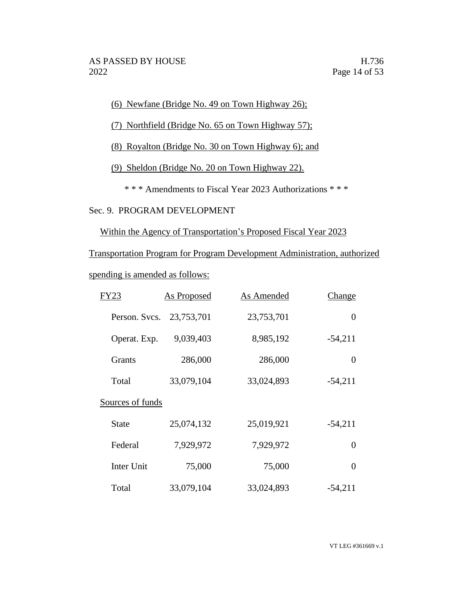(6) Newfane (Bridge No. 49 on Town Highway 26);

- (7) Northfield (Bridge No. 65 on Town Highway 57);
- (8) Royalton (Bridge No. 30 on Town Highway 6); and
- (9) Sheldon (Bridge No. 20 on Town Highway 22).
	- \* \* \* Amendments to Fiscal Year 2023 Authorizations \* \* \*

# Sec. 9. PROGRAM DEVELOPMENT

Within the Agency of Transportation's Proposed Fiscal Year 2023

Transportation Program for Program Development Administration, authorized

spending is amended as follows:

| <b>FY23</b>      | As Proposed | As Amended | Change    |
|------------------|-------------|------------|-----------|
| Person. Svcs.    | 23,753,701  | 23,753,701 | 0         |
| Operat. Exp.     | 9,039,403   | 8,985,192  | $-54,211$ |
| <b>Grants</b>    | 286,000     | 286,000    | $\theta$  |
| Total            | 33,079,104  | 33,024,893 | $-54,211$ |
| Sources of funds |             |            |           |
| State            | 25,074,132  | 25,019,921 | $-54,211$ |
| Federal          | 7,929,972   | 7,929,972  | 0         |
| Inter Unit       | 75,000      | 75,000     | 0         |
| Total            | 33,079,104  | 33,024,893 | $-54,211$ |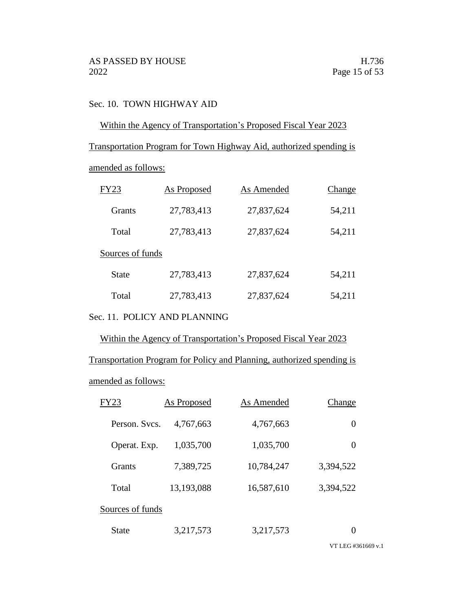# Sec. 10. TOWN HIGHWAY AID

Within the Agency of Transportation's Proposed Fiscal Year 2023

Transportation Program for Town Highway Aid, authorized spending is

amended as follows:

| FY23             | As Proposed | As Amended | Change |
|------------------|-------------|------------|--------|
| Grants           | 27,783,413  | 27,837,624 | 54,211 |
| Total            | 27,783,413  | 27,837,624 | 54,211 |
| Sources of funds |             |            |        |
| State            | 27,783,413  | 27,837,624 | 54,211 |
| Total            | 27,783,413  | 27,837,624 | 54,211 |

Sec. 11. POLICY AND PLANNING

Within the Agency of Transportation's Proposed Fiscal Year 2023

Transportation Program for Policy and Planning, authorized spending is amended as follows:

| <b>FY23</b>      | <b>As Proposed</b> | As Amended | Change        |
|------------------|--------------------|------------|---------------|
| Person, Sycs.    | 4,767,663          | 4,767,663  | 0             |
| Operat. Exp.     | 1,035,700          | 1,035,700  | 0             |
| <b>Grants</b>    | 7,389,725          | 10,784,247 | 3,394,522     |
| Total            | 13,193,088         | 16,587,610 | 3,394,522     |
| Sources of funds |                    |            |               |
| State            | 3,217,573          | 3,217,573  | $\mathcal{L}$ |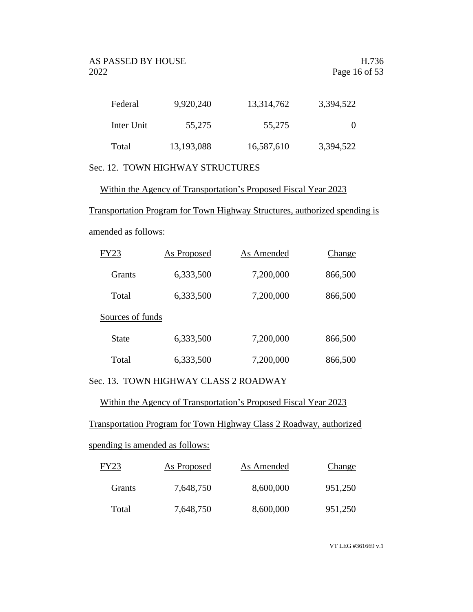| Federal    | 9,920,240  | 13,314,762 | 3,394,522 |
|------------|------------|------------|-----------|
| Inter Unit | 55,275     | 55,275     | $\Omega$  |
| Total      | 13,193,088 | 16,587,610 | 3,394,522 |

# Sec. 12. TOWN HIGHWAY STRUCTURES

Within the Agency of Transportation's Proposed Fiscal Year 2023

Transportation Program for Town Highway Structures, authorized spending is

# amended as follows:

| FY23             | As Proposed | As Amended | Change  |
|------------------|-------------|------------|---------|
| <b>Grants</b>    | 6,333,500   | 7,200,000  | 866,500 |
| Total            | 6,333,500   | 7,200,000  | 866,500 |
| Sources of funds |             |            |         |
| <b>State</b>     | 6,333,500   | 7,200,000  | 866,500 |
| Total            | 6,333,500   | 7,200,000  | 866,500 |

# Sec. 13. TOWN HIGHWAY CLASS 2 ROADWAY

Within the Agency of Transportation's Proposed Fiscal Year 2023

Transportation Program for Town Highway Class 2 Roadway, authorized

# spending is amended as follows:

| FY23   | As Proposed | As Amended | Change  |
|--------|-------------|------------|---------|
| Grants | 7,648,750   | 8,600,000  | 951,250 |
| Total  | 7,648,750   | 8,600,000  | 951,250 |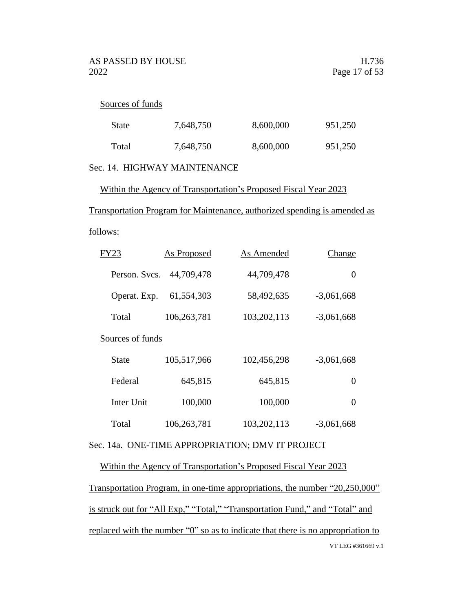#### Sources of funds

| State | 7,648,750 | 8,600,000 | 951,250 |
|-------|-----------|-----------|---------|
| Total | 7,648,750 | 8,600,000 | 951,250 |

# Sec. 14. HIGHWAY MAINTENANCE

Within the Agency of Transportation's Proposed Fiscal Year 2023

#### Transportation Program for Maintenance, authorized spending is amended as

## follows:

| FY23             | As Proposed | As Amended  | Change       |
|------------------|-------------|-------------|--------------|
| Person. Svcs.    | 44,709,478  | 44,709,478  | $\theta$     |
| Operat. Exp.     | 61,554,303  | 58,492,635  | $-3,061,668$ |
| Total            | 106,263,781 | 103,202,113 | $-3,061,668$ |
| Sources of funds |             |             |              |
| State            | 105,517,966 | 102,456,298 | $-3,061,668$ |
| Federal          | 645,815     | 645,815     | 0            |
| Inter Unit       | 100,000     | 100,000     | $\Omega$     |
| Total            | 106,263,781 | 103,202,113 | $-3,061,668$ |

## Sec. 14a. ONE-TIME APPROPRIATION; DMV IT PROJECT

# Within the Agency of Transportation's Proposed Fiscal Year 2023 Transportation Program, in one-time appropriations, the number "20,250,000"

VT LEG #361669 v.1 is struck out for "All Exp," "Total," "Transportation Fund," and "Total" and replaced with the number "0" so as to indicate that there is no appropriation to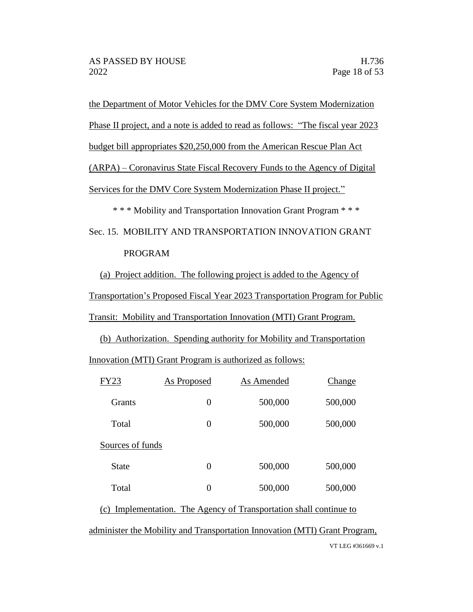the Department of Motor Vehicles for the DMV Core System Modernization

Phase II project, and a note is added to read as follows: "The fiscal year 2023

budget bill appropriates \$20,250,000 from the American Rescue Plan Act

(ARPA) – Coronavirus State Fiscal Recovery Funds to the Agency of Digital

Services for the DMV Core System Modernization Phase II project."

\* \* \* Mobility and Transportation Innovation Grant Program \* \* \*

Sec. 15. MOBILITY AND TRANSPORTATION INNOVATION GRANT PROGRAM

(a) Project addition. The following project is added to the Agency of

Transportation's Proposed Fiscal Year 2023 Transportation Program for Public

Transit: Mobility and Transportation Innovation (MTI) Grant Program.

(b) Authorization. Spending authority for Mobility and Transportation

Innovation (MTI) Grant Program is authorized as follows:

| <b>FY23</b>      | <b>As Proposed</b> | As Amended                                                         | <b>Change</b> |
|------------------|--------------------|--------------------------------------------------------------------|---------------|
| <b>Grants</b>    | $\overline{0}$     | 500,000                                                            | 500,000       |
| Total            | 0                  | 500,000                                                            | 500,000       |
| Sources of funds |                    |                                                                    |               |
| State            | $\overline{0}$     | 500,000                                                            | 500,000       |
| Total            | $\overline{0}$     | 500,000                                                            | 500,000       |
|                  |                    | (a) Incurrentation The Assures of Transmontation shall continue to |               |

(c) Implementation. The Agency of Transportation shall continue to

administer the Mobility and Transportation Innovation (MTI) Grant Program,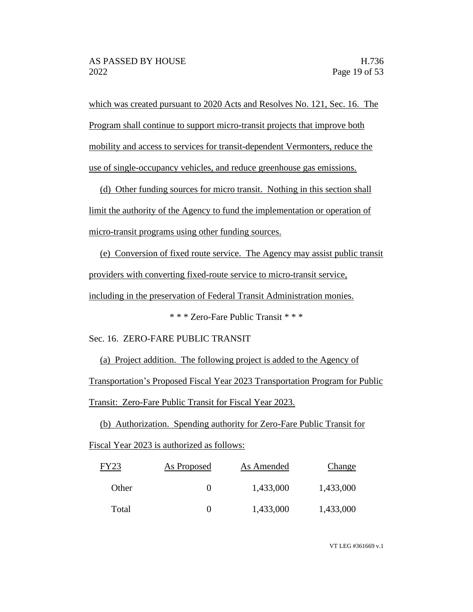which was created pursuant to 2020 Acts and Resolves No. 121, Sec. 16. The Program shall continue to support micro-transit projects that improve both mobility and access to services for transit-dependent Vermonters, reduce the use of single-occupancy vehicles, and reduce greenhouse gas emissions.

(d) Other funding sources for micro transit. Nothing in this section shall limit the authority of the Agency to fund the implementation or operation of micro-transit programs using other funding sources.

(e) Conversion of fixed route service. The Agency may assist public transit providers with converting fixed-route service to micro-transit service, including in the preservation of Federal Transit Administration monies.

\* \* \* Zero-Fare Public Transit \* \* \*

Sec. 16. ZERO-FARE PUBLIC TRANSIT

(a) Project addition. The following project is added to the Agency of Transportation's Proposed Fiscal Year 2023 Transportation Program for Public Transit: Zero-Fare Public Transit for Fiscal Year 2023.

(b) Authorization. Spending authority for Zero-Fare Public Transit for Fiscal Year 2023 is authorized as follows:

| FY23  | As Proposed | As Amended | Change    |
|-------|-------------|------------|-----------|
| Other | 0           | 1,433,000  | 1,433,000 |
| Total | 0           | 1,433,000  | 1,433,000 |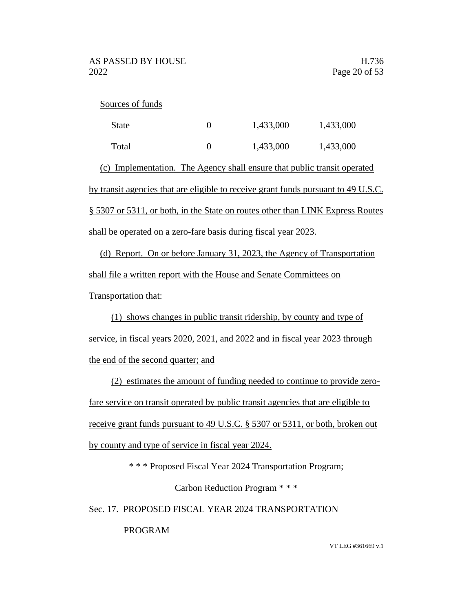#### Sources of funds

| State                                                                              | 0 | 1,433,000 | 1,433,000 |  |  |
|------------------------------------------------------------------------------------|---|-----------|-----------|--|--|
| Total                                                                              | 0 | 1,433,000 | 1,433,000 |  |  |
| (c) Implementation. The Agency shall ensure that public transit operated           |   |           |           |  |  |
| by transit agencies that are eligible to receive grant funds pursuant to 49 U.S.C. |   |           |           |  |  |
| § 5307 or 5311, or both, in the State on routes other than LINK Express Routes     |   |           |           |  |  |
| shall be operated on a zero-fare basis during fiscal year 2023.                    |   |           |           |  |  |

(d) Report. On or before January 31, 2023, the Agency of Transportation shall file a written report with the House and Senate Committees on Transportation that:

(1) shows changes in public transit ridership, by county and type of service, in fiscal years 2020, 2021, and 2022 and in fiscal year 2023 through the end of the second quarter; and

(2) estimates the amount of funding needed to continue to provide zerofare service on transit operated by public transit agencies that are eligible to receive grant funds pursuant to 49 U.S.C. § 5307 or 5311, or both, broken out by county and type of service in fiscal year 2024.

\* \* \* Proposed Fiscal Year 2024 Transportation Program;

Carbon Reduction Program \* \* \*

Sec. 17. PROPOSED FISCAL YEAR 2024 TRANSPORTATION

PROGRAM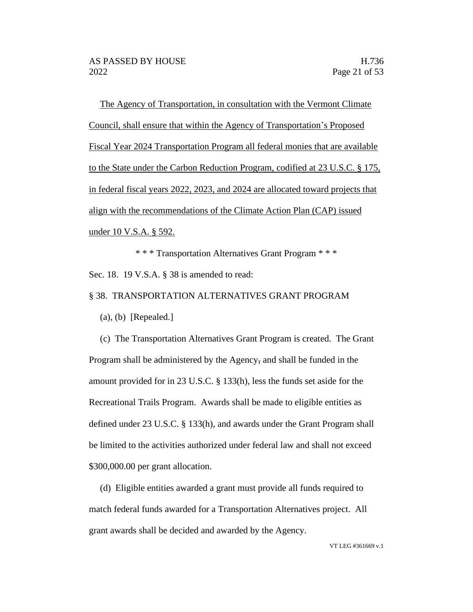The Agency of Transportation, in consultation with the Vermont Climate Council, shall ensure that within the Agency of Transportation's Proposed Fiscal Year 2024 Transportation Program all federal monies that are available to the State under the Carbon Reduction Program, codified at 23 U.S.C. § 175, in federal fiscal years 2022, 2023, and 2024 are allocated toward projects that align with the recommendations of the Climate Action Plan (CAP) issued under 10 V.S.A. § 592.

\* \* \* Transportation Alternatives Grant Program \* \* \* Sec. 18. 19 V.S.A. § 38 is amended to read:

## § 38. TRANSPORTATION ALTERNATIVES GRANT PROGRAM

 $(a)$ ,  $(b)$  [Repealed.]

(c) The Transportation Alternatives Grant Program is created. The Grant Program shall be administered by the Agency, and shall be funded in the amount provided for in 23 U.S.C. § 133(h), less the funds set aside for the Recreational Trails Program. Awards shall be made to eligible entities as defined under 23 U.S.C. § 133(h), and awards under the Grant Program shall be limited to the activities authorized under federal law and shall not exceed \$300,000.00 per grant allocation.

(d) Eligible entities awarded a grant must provide all funds required to match federal funds awarded for a Transportation Alternatives project. All grant awards shall be decided and awarded by the Agency.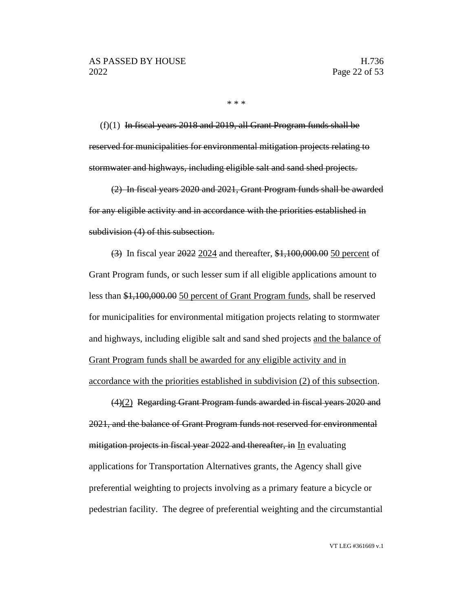\* \* \*

 $(f)(1)$  In fiscal years 2018 and 2019, all Grant Program funds shall be reserved for municipalities for environmental mitigation projects relating to stormwater and highways, including eligible salt and sand shed projects.

(2) In fiscal years 2020 and 2021, Grant Program funds shall be awarded for any eligible activity and in accordance with the priorities established in subdivision (4) of this subsection.

(3) In fiscal year 2022 2024 and thereafter, \$1,100,000.00 50 percent of Grant Program funds, or such lesser sum if all eligible applications amount to less than \$1,100,000.00 50 percent of Grant Program funds, shall be reserved for municipalities for environmental mitigation projects relating to stormwater and highways, including eligible salt and sand shed projects and the balance of Grant Program funds shall be awarded for any eligible activity and in accordance with the priorities established in subdivision (2) of this subsection.

(4)(2) Regarding Grant Program funds awarded in fiscal years 2020 and 2021, and the balance of Grant Program funds not reserved for environmental mitigation projects in fiscal year 2022 and thereafter, in In evaluating applications for Transportation Alternatives grants, the Agency shall give preferential weighting to projects involving as a primary feature a bicycle or pedestrian facility. The degree of preferential weighting and the circumstantial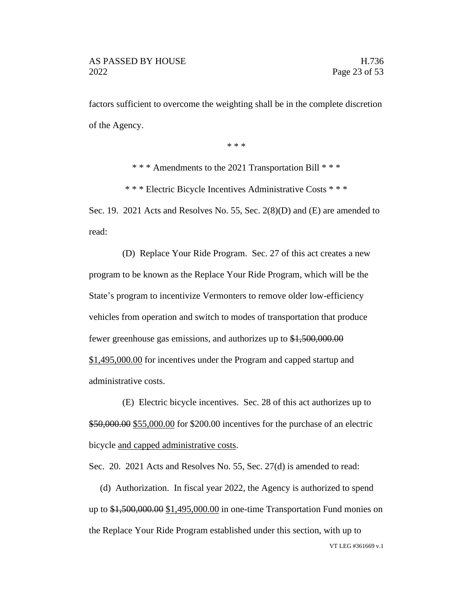factors sufficient to overcome the weighting shall be in the complete discretion of the Agency.

\* \* \*

\* \* \* Amendments to the 2021 Transportation Bill \* \* \*

\* \* \* Electric Bicycle Incentives Administrative Costs \* \* \*

Sec. 19. 2021 Acts and Resolves No. 55, Sec. 2(8)(D) and (E) are amended to read:

(D) Replace Your Ride Program. Sec. 27 of this act creates a new program to be known as the Replace Your Ride Program, which will be the State's program to incentivize Vermonters to remove older low-efficiency vehicles from operation and switch to modes of transportation that produce fewer greenhouse gas emissions, and authorizes up to \$1,500,000.00 \$1,495,000.00 for incentives under the Program and capped startup and administrative costs.

(E) Electric bicycle incentives. Sec. 28 of this act authorizes up to \$50,000.00 \$55,000.00 for \$200.00 incentives for the purchase of an electric bicycle and capped administrative costs.

Sec. 20. 2021 Acts and Resolves No. 55, Sec. 27(d) is amended to read:

VT LEG #361669 v.1 (d) Authorization. In fiscal year 2022, the Agency is authorized to spend up to \$1,500,000.00 \$1,495,000.00 in one-time Transportation Fund monies on the Replace Your Ride Program established under this section, with up to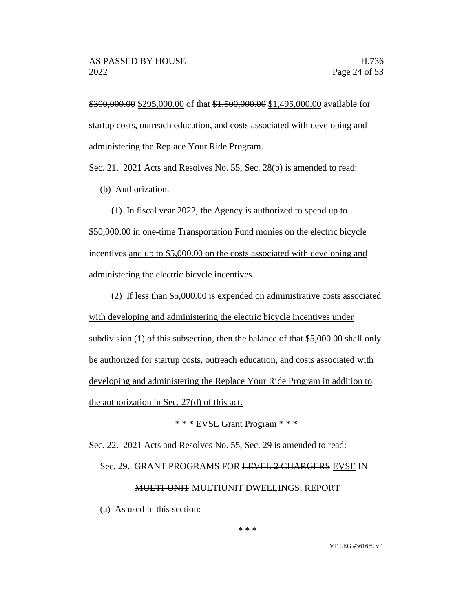\$300,000.00 \$295,000.00 of that \$1,500,000.00 \$1,495,000.00 available for startup costs, outreach education, and costs associated with developing and administering the Replace Your Ride Program.

Sec. 21. 2021 Acts and Resolves No. 55, Sec. 28(b) is amended to read:

(b) Authorization.

(1) In fiscal year 2022, the Agency is authorized to spend up to \$50,000.00 in one-time Transportation Fund monies on the electric bicycle incentives and up to \$5,000.00 on the costs associated with developing and administering the electric bicycle incentives.

(2) If less than \$5,000.00 is expended on administrative costs associated with developing and administering the electric bicycle incentives under subdivision (1) of this subsection, then the balance of that \$5,000.00 shall only be authorized for startup costs, outreach education, and costs associated with developing and administering the Replace Your Ride Program in addition to the authorization in Sec. 27(d) of this act.

\* \* \* EVSE Grant Program \* \* \*

Sec. 22. 2021 Acts and Resolves No. 55, Sec. 29 is amended to read:

Sec. 29. GRANT PROGRAMS FOR LEVEL 2 CHARGERS EVSE IN

#### MULTI-UNIT MULTIUNIT DWELLINGS; REPORT

(a) As used in this section: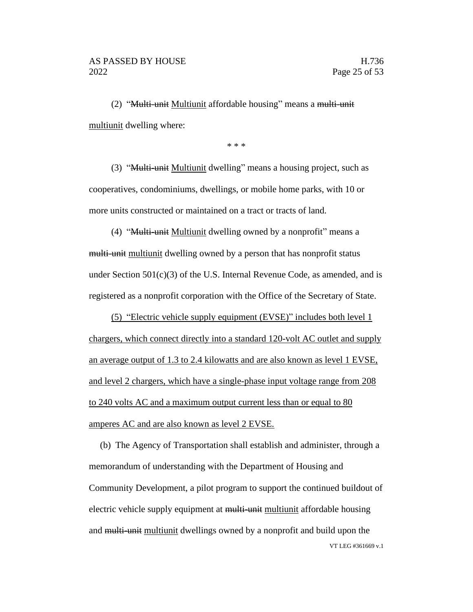(2) "Multi-unit Multiunit affordable housing" means a multi-unit multiunit dwelling where:

\* \* \*

(3) "Multi-unit Multiunit dwelling" means a housing project, such as cooperatives, condominiums, dwellings, or mobile home parks, with 10 or more units constructed or maintained on a tract or tracts of land.

(4) "Multi-unit Multiunit dwelling owned by a nonprofit" means a multi-unit multiunit dwelling owned by a person that has nonprofit status under Section  $501(c)(3)$  of the U.S. Internal Revenue Code, as amended, and is registered as a nonprofit corporation with the Office of the Secretary of State.

(5) "Electric vehicle supply equipment (EVSE)" includes both level 1 chargers, which connect directly into a standard 120-volt AC outlet and supply an average output of 1.3 to 2.4 kilowatts and are also known as level 1 EVSE, and level 2 chargers, which have a single-phase input voltage range from 208 to 240 volts AC and a maximum output current less than or equal to 80 amperes AC and are also known as level 2 EVSE.

VT LEG #361669 v.1 (b) The Agency of Transportation shall establish and administer, through a memorandum of understanding with the Department of Housing and Community Development, a pilot program to support the continued buildout of electric vehicle supply equipment at multi-unit multiunit affordable housing and multi-unit multiunit dwellings owned by a nonprofit and build upon the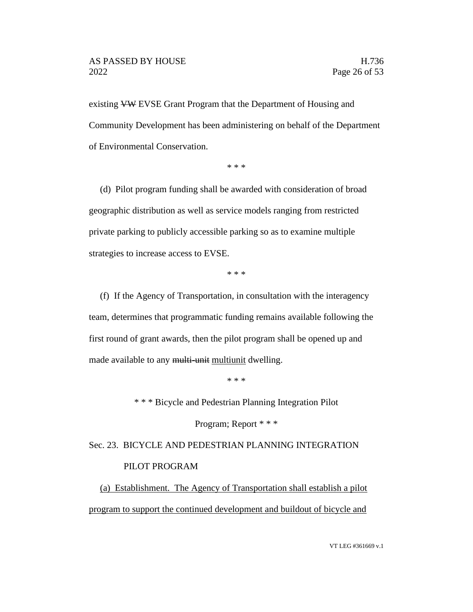existing VW EVSE Grant Program that the Department of Housing and Community Development has been administering on behalf of the Department of Environmental Conservation.

\* \* \*

(d) Pilot program funding shall be awarded with consideration of broad geographic distribution as well as service models ranging from restricted private parking to publicly accessible parking so as to examine multiple strategies to increase access to EVSE.

\* \* \*

(f) If the Agency of Transportation, in consultation with the interagency team, determines that programmatic funding remains available following the first round of grant awards, then the pilot program shall be opened up and made available to any multi-unit multiunit dwelling.

\* \* \*

\* \* \* Bicycle and Pedestrian Planning Integration Pilot

Program; Report \* \* \*

Sec. 23. BICYCLE AND PEDESTRIAN PLANNING INTEGRATION PILOT PROGRAM

(a) Establishment. The Agency of Transportation shall establish a pilot program to support the continued development and buildout of bicycle and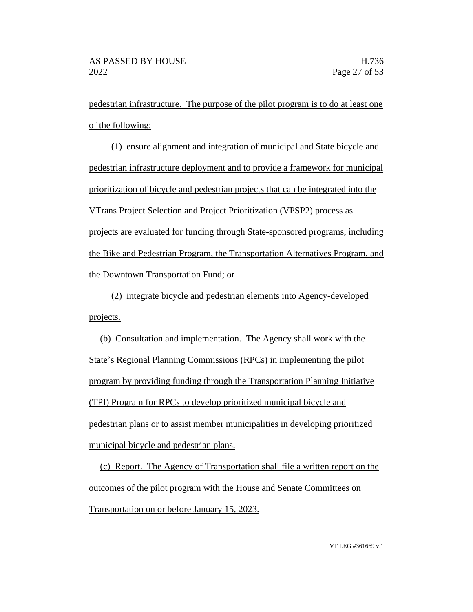pedestrian infrastructure. The purpose of the pilot program is to do at least one of the following:

(1) ensure alignment and integration of municipal and State bicycle and pedestrian infrastructure deployment and to provide a framework for municipal prioritization of bicycle and pedestrian projects that can be integrated into the VTrans Project Selection and Project Prioritization (VPSP2) process as projects are evaluated for funding through State-sponsored programs, including the Bike and Pedestrian Program, the Transportation Alternatives Program, and the Downtown Transportation Fund; or

(2) integrate bicycle and pedestrian elements into Agency-developed projects.

(b) Consultation and implementation. The Agency shall work with the State's Regional Planning Commissions (RPCs) in implementing the pilot program by providing funding through the Transportation Planning Initiative (TPI) Program for RPCs to develop prioritized municipal bicycle and pedestrian plans or to assist member municipalities in developing prioritized municipal bicycle and pedestrian plans.

(c) Report. The Agency of Transportation shall file a written report on the outcomes of the pilot program with the House and Senate Committees on Transportation on or before January 15, 2023.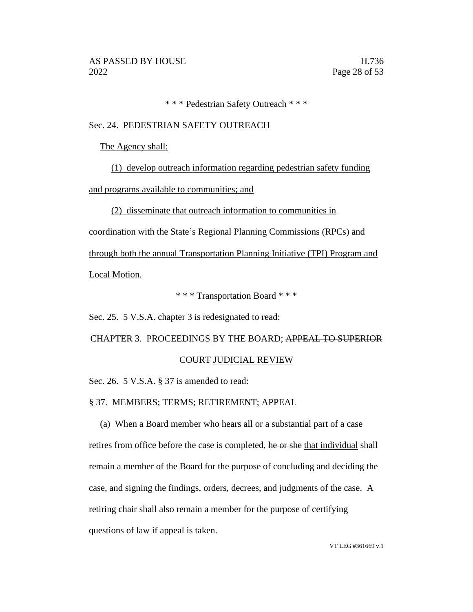\* \* \* Pedestrian Safety Outreach \* \* \*

#### Sec. 24. PEDESTRIAN SAFETY OUTREACH

The Agency shall:

(1) develop outreach information regarding pedestrian safety funding and programs available to communities; and

(2) disseminate that outreach information to communities in

coordination with the State's Regional Planning Commissions (RPCs) and

through both the annual Transportation Planning Initiative (TPI) Program and Local Motion.

\* \* \* Transportation Board \* \* \*

Sec. 25. 5 V.S.A. chapter 3 is redesignated to read:

CHAPTER 3. PROCEEDINGS BY THE BOARD; APPEAL TO SUPERIOR

#### COURT JUDICIAL REVIEW

Sec. 26. 5 V.S.A. § 37 is amended to read:

§ 37. MEMBERS; TERMS; RETIREMENT; APPEAL

(a) When a Board member who hears all or a substantial part of a case retires from office before the case is completed, he or she that individual shall remain a member of the Board for the purpose of concluding and deciding the case, and signing the findings, orders, decrees, and judgments of the case. A retiring chair shall also remain a member for the purpose of certifying questions of law if appeal is taken.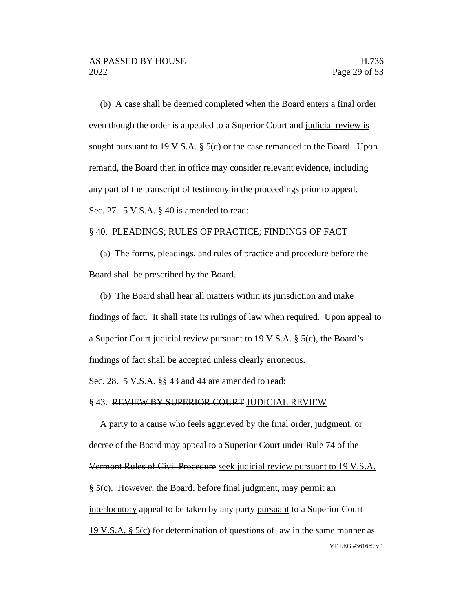(b) A case shall be deemed completed when the Board enters a final order even though the order is appealed to a Superior Court and judicial review is sought pursuant to 19 V.S.A. § 5(c) or the case remanded to the Board. Upon remand, the Board then in office may consider relevant evidence, including any part of the transcript of testimony in the proceedings prior to appeal. Sec. 27. 5 V.S.A. § 40 is amended to read:

#### § 40. PLEADINGS; RULES OF PRACTICE; FINDINGS OF FACT

(a) The forms, pleadings, and rules of practice and procedure before the Board shall be prescribed by the Board.

(b) The Board shall hear all matters within its jurisdiction and make findings of fact. It shall state its rulings of law when required. Upon appeal to a Superior Court judicial review pursuant to 19 V.S.A. § 5(c), the Board's findings of fact shall be accepted unless clearly erroneous.

Sec. 28. 5 V.S.A. §§ 43 and 44 are amended to read:

#### § 43. REVIEW BY SUPERIOR COURT JUDICIAL REVIEW

VT LEG #361669 v.1 A party to a cause who feels aggrieved by the final order, judgment, or decree of the Board may appeal to a Superior Court under Rule 74 of the Vermont Rules of Civil Procedure seek judicial review pursuant to 19 V.S.A. § 5(c). However, the Board, before final judgment, may permit an interlocutory appeal to be taken by any party pursuant to a Superior Court 19 V.S.A.  $\S$  5(c) for determination of questions of law in the same manner as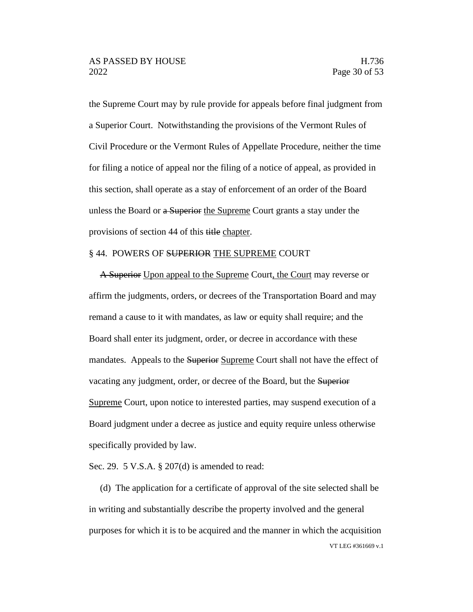the Supreme Court may by rule provide for appeals before final judgment from a Superior Court. Notwithstanding the provisions of the Vermont Rules of Civil Procedure or the Vermont Rules of Appellate Procedure, neither the time for filing a notice of appeal nor the filing of a notice of appeal, as provided in this section, shall operate as a stay of enforcement of an order of the Board unless the Board or a Superior the Supreme Court grants a stay under the provisions of section 44 of this title chapter.

#### § 44. POWERS OF SUPERIOR THE SUPREME COURT

A Superior Upon appeal to the Supreme Court, the Court may reverse or affirm the judgments, orders, or decrees of the Transportation Board and may remand a cause to it with mandates, as law or equity shall require; and the Board shall enter its judgment, order, or decree in accordance with these mandates. Appeals to the Superior Supreme Court shall not have the effect of vacating any judgment, order, or decree of the Board, but the Superior Supreme Court, upon notice to interested parties, may suspend execution of a Board judgment under a decree as justice and equity require unless otherwise specifically provided by law.

Sec. 29. 5 V.S.A. § 207(d) is amended to read:

VT LEG #361669 v.1 (d) The application for a certificate of approval of the site selected shall be in writing and substantially describe the property involved and the general purposes for which it is to be acquired and the manner in which the acquisition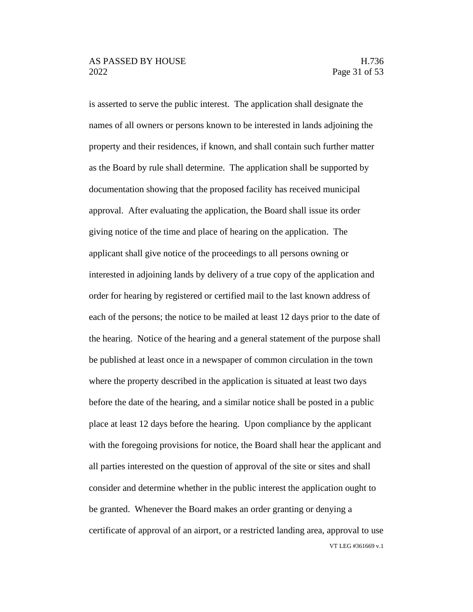VT LEG #361669 v.1 is asserted to serve the public interest. The application shall designate the names of all owners or persons known to be interested in lands adjoining the property and their residences, if known, and shall contain such further matter as the Board by rule shall determine. The application shall be supported by documentation showing that the proposed facility has received municipal approval. After evaluating the application, the Board shall issue its order giving notice of the time and place of hearing on the application. The applicant shall give notice of the proceedings to all persons owning or interested in adjoining lands by delivery of a true copy of the application and order for hearing by registered or certified mail to the last known address of each of the persons; the notice to be mailed at least 12 days prior to the date of the hearing. Notice of the hearing and a general statement of the purpose shall be published at least once in a newspaper of common circulation in the town where the property described in the application is situated at least two days before the date of the hearing, and a similar notice shall be posted in a public place at least 12 days before the hearing. Upon compliance by the applicant with the foregoing provisions for notice, the Board shall hear the applicant and all parties interested on the question of approval of the site or sites and shall consider and determine whether in the public interest the application ought to be granted. Whenever the Board makes an order granting or denying a certificate of approval of an airport, or a restricted landing area, approval to use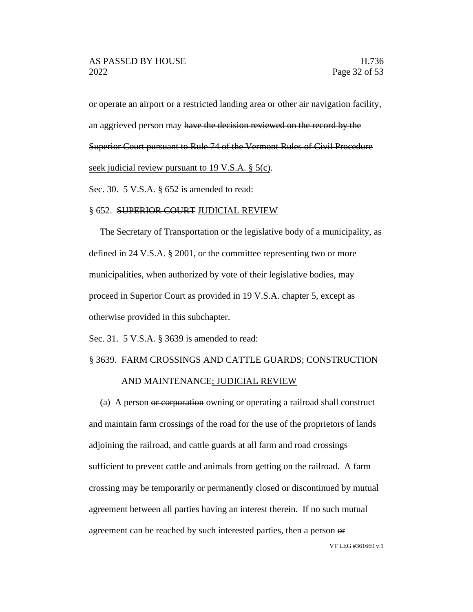or operate an airport or a restricted landing area or other air navigation facility, an aggrieved person may have the decision reviewed on the record by the Superior Court pursuant to Rule 74 of the Vermont Rules of Civil Procedure seek judicial review pursuant to 19 V.S.A. § 5(c).

Sec. 30. 5 V.S.A. § 652 is amended to read:

#### § 652. SUPERIOR COURT JUDICIAL REVIEW

The Secretary of Transportation or the legislative body of a municipality, as defined in 24 V.S.A. § 2001, or the committee representing two or more municipalities, when authorized by vote of their legislative bodies, may proceed in Superior Court as provided in 19 V.S.A. chapter 5, except as otherwise provided in this subchapter.

Sec. 31. 5 V.S.A. § 3639 is amended to read:

#### § 3639. FARM CROSSINGS AND CATTLE GUARDS; CONSTRUCTION

#### AND MAINTENANCE; JUDICIAL REVIEW

(a) A person or corporation owning or operating a railroad shall construct and maintain farm crossings of the road for the use of the proprietors of lands adjoining the railroad, and cattle guards at all farm and road crossings sufficient to prevent cattle and animals from getting on the railroad. A farm crossing may be temporarily or permanently closed or discontinued by mutual agreement between all parties having an interest therein. If no such mutual agreement can be reached by such interested parties, then a person or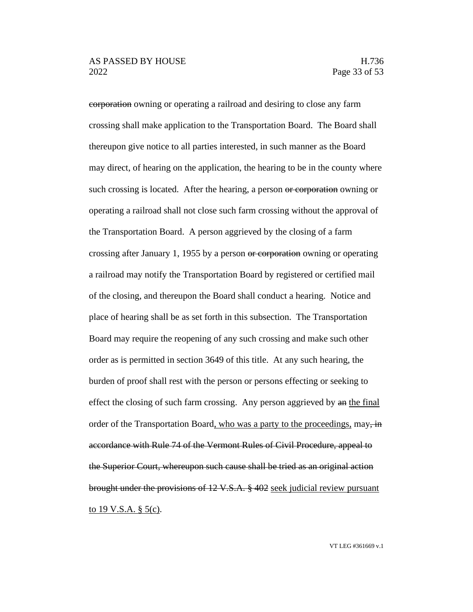corporation owning or operating a railroad and desiring to close any farm crossing shall make application to the Transportation Board. The Board shall thereupon give notice to all parties interested, in such manner as the Board may direct, of hearing on the application, the hearing to be in the county where such crossing is located. After the hearing, a person or corporation owning or operating a railroad shall not close such farm crossing without the approval of the Transportation Board. A person aggrieved by the closing of a farm crossing after January 1, 1955 by a person or corporation owning or operating a railroad may notify the Transportation Board by registered or certified mail of the closing, and thereupon the Board shall conduct a hearing. Notice and place of hearing shall be as set forth in this subsection. The Transportation Board may require the reopening of any such crossing and make such other order as is permitted in section 3649 of this title. At any such hearing, the burden of proof shall rest with the person or persons effecting or seeking to effect the closing of such farm crossing. Any person aggrieved by an the final order of the Transportation Board, who was a party to the proceedings,  $\text{may}$ ,  $\text{in}$ accordance with Rule 74 of the Vermont Rules of Civil Procedure, appeal to the Superior Court, whereupon such cause shall be tried as an original action brought under the provisions of 12 V.S.A. § 402 seek judicial review pursuant to 19 V.S.A.  $\S$  5(c).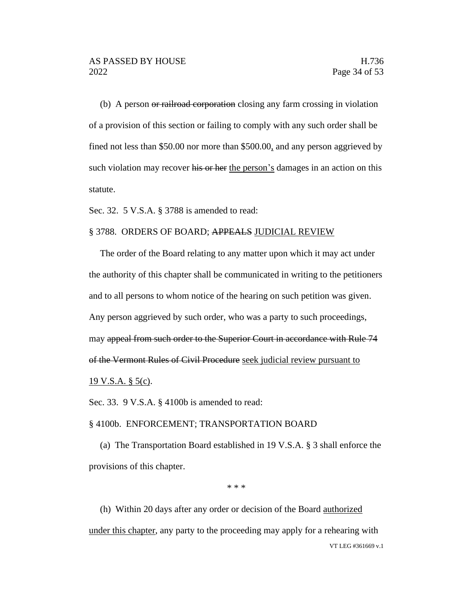(b) A person or railroad corporation closing any farm crossing in violation of a provision of this section or failing to comply with any such order shall be fined not less than \$50.00 nor more than \$500.00, and any person aggrieved by such violation may recover his or her the person's damages in an action on this statute.

Sec. 32. 5 V.S.A. § 3788 is amended to read:

#### § 3788. ORDERS OF BOARD; APPEALS JUDICIAL REVIEW

The order of the Board relating to any matter upon which it may act under the authority of this chapter shall be communicated in writing to the petitioners and to all persons to whom notice of the hearing on such petition was given. Any person aggrieved by such order, who was a party to such proceedings, may appeal from such order to the Superior Court in accordance with Rule 74 of the Vermont Rules of Civil Procedure seek judicial review pursuant to 19 V.S.A. § 5(c).

Sec. 33. 9 V.S.A. § 4100b is amended to read:

#### § 4100b. ENFORCEMENT; TRANSPORTATION BOARD

(a) The Transportation Board established in 19 V.S.A. § 3 shall enforce the provisions of this chapter.

\* \* \*

VT LEG #361669 v.1 (h) Within 20 days after any order or decision of the Board authorized under this chapter, any party to the proceeding may apply for a rehearing with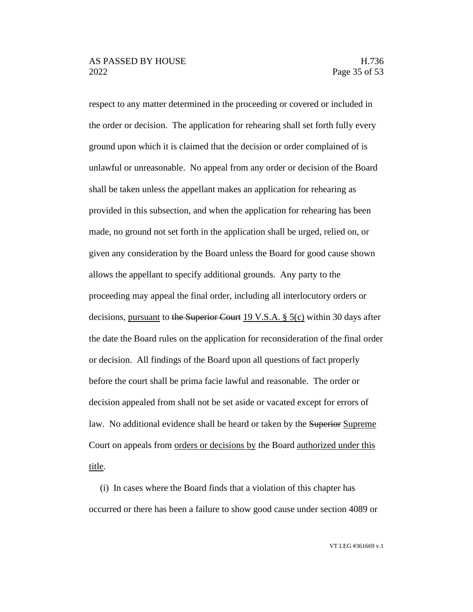respect to any matter determined in the proceeding or covered or included in the order or decision. The application for rehearing shall set forth fully every ground upon which it is claimed that the decision or order complained of is unlawful or unreasonable. No appeal from any order or decision of the Board shall be taken unless the appellant makes an application for rehearing as provided in this subsection, and when the application for rehearing has been made, no ground not set forth in the application shall be urged, relied on, or given any consideration by the Board unless the Board for good cause shown allows the appellant to specify additional grounds. Any party to the proceeding may appeal the final order, including all interlocutory orders or decisions, pursuant to the Superior Court 19 V.S.A. § 5(c) within 30 days after the date the Board rules on the application for reconsideration of the final order or decision. All findings of the Board upon all questions of fact properly before the court shall be prima facie lawful and reasonable. The order or decision appealed from shall not be set aside or vacated except for errors of law. No additional evidence shall be heard or taken by the Superior Supreme Court on appeals from <u>orders or decisions by</u> the Board <u>authorized under this</u> title.

(i) In cases where the Board finds that a violation of this chapter has occurred or there has been a failure to show good cause under section 4089 or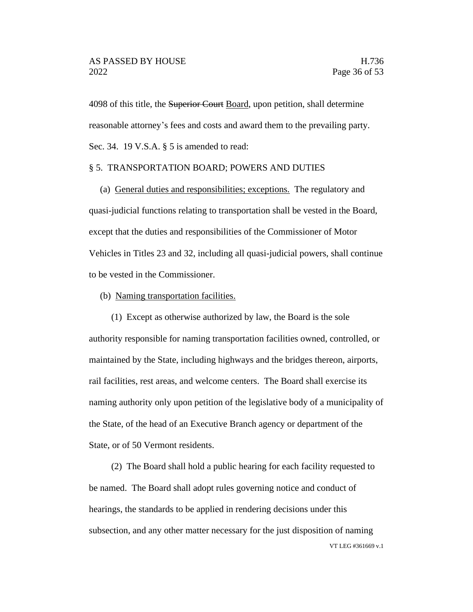4098 of this title, the Superior Court Board, upon petition, shall determine reasonable attorney's fees and costs and award them to the prevailing party. Sec. 34. 19 V.S.A. § 5 is amended to read:

#### § 5. TRANSPORTATION BOARD; POWERS AND DUTIES

(a) General duties and responsibilities; exceptions. The regulatory and quasi-judicial functions relating to transportation shall be vested in the Board, except that the duties and responsibilities of the Commissioner of Motor Vehicles in Titles 23 and 32, including all quasi-judicial powers, shall continue to be vested in the Commissioner.

#### (b) Naming transportation facilities.

(1) Except as otherwise authorized by law, the Board is the sole authority responsible for naming transportation facilities owned, controlled, or maintained by the State, including highways and the bridges thereon, airports, rail facilities, rest areas, and welcome centers. The Board shall exercise its naming authority only upon petition of the legislative body of a municipality of the State, of the head of an Executive Branch agency or department of the State, or of 50 Vermont residents.

VT LEG #361669 v.1 (2) The Board shall hold a public hearing for each facility requested to be named. The Board shall adopt rules governing notice and conduct of hearings, the standards to be applied in rendering decisions under this subsection, and any other matter necessary for the just disposition of naming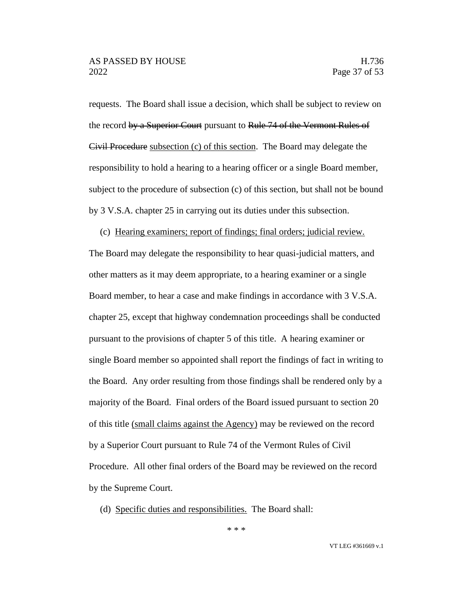requests. The Board shall issue a decision, which shall be subject to review on the record by a Superior Court pursuant to Rule 74 of the Vermont Rules of Civil Procedure subsection (c) of this section. The Board may delegate the responsibility to hold a hearing to a hearing officer or a single Board member, subject to the procedure of subsection (c) of this section, but shall not be bound by 3 V.S.A. chapter 25 in carrying out its duties under this subsection.

(c) Hearing examiners; report of findings; final orders; judicial review.

The Board may delegate the responsibility to hear quasi-judicial matters, and other matters as it may deem appropriate, to a hearing examiner or a single Board member, to hear a case and make findings in accordance with 3 V.S.A. chapter 25, except that highway condemnation proceedings shall be conducted pursuant to the provisions of chapter 5 of this title. A hearing examiner or single Board member so appointed shall report the findings of fact in writing to the Board. Any order resulting from those findings shall be rendered only by a majority of the Board. Final orders of the Board issued pursuant to section 20 of this title (small claims against the Agency) may be reviewed on the record by a Superior Court pursuant to Rule 74 of the Vermont Rules of Civil Procedure. All other final orders of the Board may be reviewed on the record by the Supreme Court.

(d) Specific duties and responsibilities. The Board shall:

\* \* \*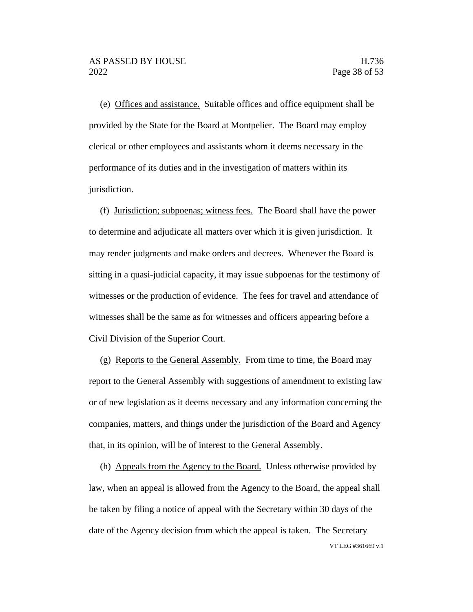(e) Offices and assistance. Suitable offices and office equipment shall be provided by the State for the Board at Montpelier. The Board may employ clerical or other employees and assistants whom it deems necessary in the performance of its duties and in the investigation of matters within its jurisdiction.

(f) Jurisdiction; subpoenas; witness fees. The Board shall have the power to determine and adjudicate all matters over which it is given jurisdiction. It may render judgments and make orders and decrees. Whenever the Board is sitting in a quasi-judicial capacity, it may issue subpoenas for the testimony of witnesses or the production of evidence. The fees for travel and attendance of witnesses shall be the same as for witnesses and officers appearing before a Civil Division of the Superior Court.

(g) Reports to the General Assembly. From time to time, the Board may report to the General Assembly with suggestions of amendment to existing law or of new legislation as it deems necessary and any information concerning the companies, matters, and things under the jurisdiction of the Board and Agency that, in its opinion, will be of interest to the General Assembly.

VT LEG #361669 v.1 (h) Appeals from the Agency to the Board. Unless otherwise provided by law, when an appeal is allowed from the Agency to the Board, the appeal shall be taken by filing a notice of appeal with the Secretary within 30 days of the date of the Agency decision from which the appeal is taken. The Secretary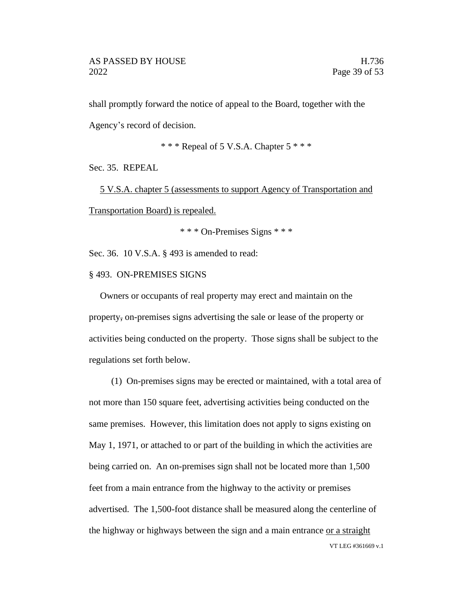shall promptly forward the notice of appeal to the Board, together with the Agency's record of decision.

\* \* \* Repeal of 5 V.S.A. Chapter 5 \* \* \*

Sec. 35. REPEAL

5 V.S.A. chapter 5 (assessments to support Agency of Transportation and Transportation Board) is repealed.

\* \* \* On-Premises Signs \* \* \*

Sec. 36. 10 V.S.A. § 493 is amended to read:

§ 493. ON-PREMISES SIGNS

Owners or occupants of real property may erect and maintain on the property, on-premises signs advertising the sale or lease of the property or activities being conducted on the property. Those signs shall be subject to the regulations set forth below.

VT LEG #361669 v.1 (1) On-premises signs may be erected or maintained, with a total area of not more than 150 square feet, advertising activities being conducted on the same premises. However, this limitation does not apply to signs existing on May 1, 1971, or attached to or part of the building in which the activities are being carried on. An on-premises sign shall not be located more than 1,500 feet from a main entrance from the highway to the activity or premises advertised. The 1,500-foot distance shall be measured along the centerline of the highway or highways between the sign and a main entrance or a straight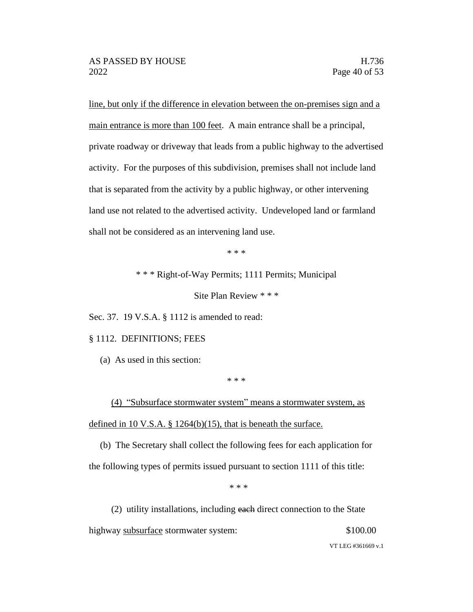line, but only if the difference in elevation between the on-premises sign and a main entrance is more than 100 feet. A main entrance shall be a principal, private roadway or driveway that leads from a public highway to the advertised activity. For the purposes of this subdivision, premises shall not include land that is separated from the activity by a public highway, or other intervening land use not related to the advertised activity. Undeveloped land or farmland shall not be considered as an intervening land use.

\* \* \*

\* \* \* Right-of-Way Permits; 1111 Permits; Municipal

Site Plan Review \* \* \*

Sec. 37. 19 V.S.A. § 1112 is amended to read:

#### § 1112. DEFINITIONS; FEES

(a) As used in this section:

\* \* \*

(4) "Subsurface stormwater system" means a stormwater system, as defined in 10 V.S.A.  $\S$  1264(b)(15), that is beneath the surface.

(b) The Secretary shall collect the following fees for each application for the following types of permits issued pursuant to section 1111 of this title:

\* \* \*

(2) utility installations, including each direct connection to the State highway subsurface stormwater system: \$100.00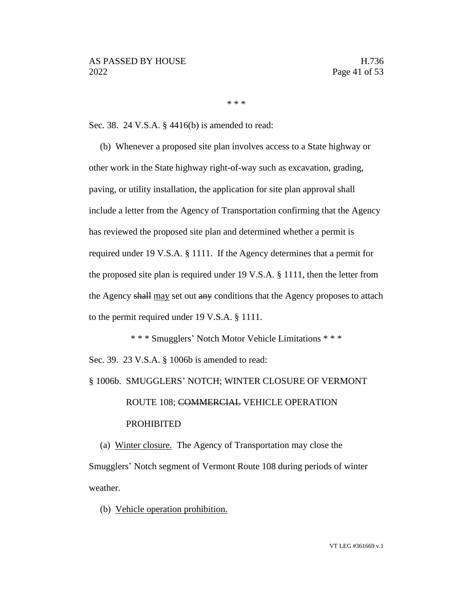\* \* \*

Sec. 38. 24 V.S.A. § 4416(b) is amended to read:

(b) Whenever a proposed site plan involves access to a State highway or other work in the State highway right-of-way such as excavation, grading, paving, or utility installation, the application for site plan approval shall include a letter from the Agency of Transportation confirming that the Agency has reviewed the proposed site plan and determined whether a permit is required under 19 V.S.A. § 1111. If the Agency determines that a permit for the proposed site plan is required under 19 V.S.A. § 1111, then the letter from the Agency shall may set out any conditions that the Agency proposes to attach to the permit required under 19 V.S.A. § 1111.

\* \* \* Smugglers' Notch Motor Vehicle Limitations \* \* \* Sec. 39. 23 V.S.A. § 1006b is amended to read:

# § 1006b. SMUGGLERS' NOTCH; WINTER CLOSURE OF VERMONT ROUTE 108; COMMERCIAL VEHICLE OPERATION PROHIBITED

(a) Winter closure. The Agency of Transportation may close the Smugglers' Notch segment of Vermont Route 108 during periods of winter weather.

(b) Vehicle operation prohibition.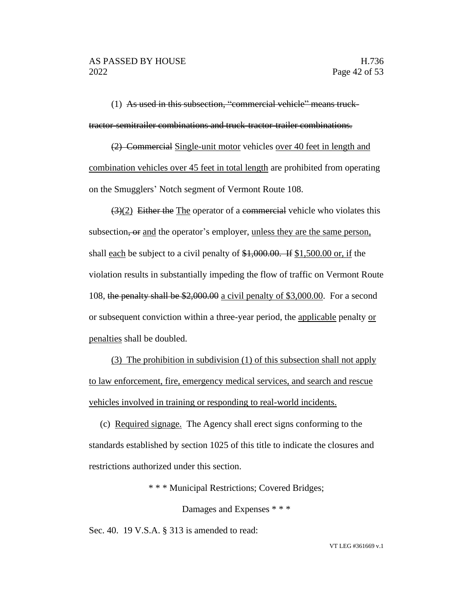(1) As used in this subsection, "commercial vehicle" means trucktractor-semitrailer combinations and truck-tractor-trailer combinations.

(2) Commercial Single-unit motor vehicles over 40 feet in length and combination vehicles over 45 feet in total length are prohibited from operating on the Smugglers' Notch segment of Vermont Route 108.

 $(3)(2)$  Either the The operator of a commercial vehicle who violates this subsection, or and the operator's employer, unless they are the same person, shall each be subject to a civil penalty of \$1,000.00. If \$1,500.00 or, if the violation results in substantially impeding the flow of traffic on Vermont Route 108, the penalty shall be \$2,000.00 a civil penalty of \$3,000.00. For a second or subsequent conviction within a three-year period, the applicable penalty or penalties shall be doubled.

(3) The prohibition in subdivision (1) of this subsection shall not apply to law enforcement, fire, emergency medical services, and search and rescue vehicles involved in training or responding to real-world incidents.

(c) Required signage. The Agency shall erect signs conforming to the standards established by section 1025 of this title to indicate the closures and restrictions authorized under this section.

\* \* \* Municipal Restrictions; Covered Bridges;

Damages and Expenses \* \* \*

Sec. 40. 19 V.S.A. § 313 is amended to read: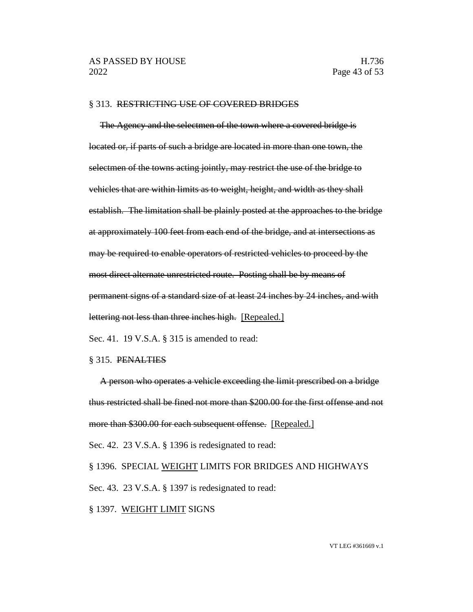#### § 313. RESTRICTING USE OF COVERED BRIDGES

The Agency and the selectmen of the town where a covered bridge is located or, if parts of such a bridge are located in more than one town, the selectmen of the towns acting jointly, may restrict the use of the bridge to vehicles that are within limits as to weight, height, and width as they shall establish. The limitation shall be plainly posted at the approaches to the bridge at approximately 100 feet from each end of the bridge, and at intersections as may be required to enable operators of restricted vehicles to proceed by the most direct alternate unrestricted route. Posting shall be by means of permanent signs of a standard size of at least 24 inches by 24 inches, and with lettering not less than three inches high. [Repealed.] Sec. 41. 19 V.S.A. § 315 is amended to read:

§ 315. PENALTIES

A person who operates a vehicle exceeding the limit prescribed on a bridge thus restricted shall be fined not more than \$200.00 for the first offense and not more than \$300.00 for each subsequent offense. [Repealed.] Sec. 42. 23 V.S.A. § 1396 is redesignated to read:

§ 1396. SPECIAL WEIGHT LIMITS FOR BRIDGES AND HIGHWAYS Sec. 43. 23 V.S.A. § 1397 is redesignated to read: § 1397. WEIGHT LIMIT SIGNS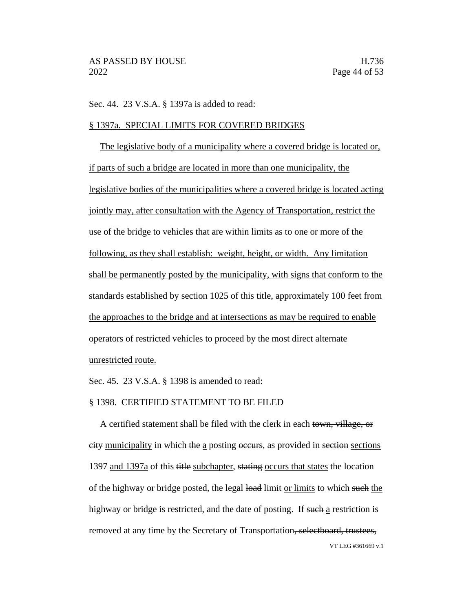Sec. 44. 23 V.S.A. § 1397a is added to read:

#### § 1397a. SPECIAL LIMITS FOR COVERED BRIDGES

The legislative body of a municipality where a covered bridge is located or, if parts of such a bridge are located in more than one municipality, the legislative bodies of the municipalities where a covered bridge is located acting jointly may, after consultation with the Agency of Transportation, restrict the use of the bridge to vehicles that are within limits as to one or more of the following, as they shall establish: weight, height, or width. Any limitation shall be permanently posted by the municipality, with signs that conform to the standards established by section 1025 of this title, approximately 100 feet from the approaches to the bridge and at intersections as may be required to enable operators of restricted vehicles to proceed by the most direct alternate unrestricted route.

Sec. 45. 23 V.S.A. § 1398 is amended to read:

#### § 1398. CERTIFIED STATEMENT TO BE FILED

VT LEG #361669 v.1 A certified statement shall be filed with the clerk in each town, village, or city municipality in which the a posting occurs, as provided in section sections 1397 and 1397a of this title subchapter, stating occurs that states the location of the highway or bridge posted, the legal load limit or limits to which such the highway or bridge is restricted, and the date of posting. If such a restriction is removed at any time by the Secretary of Transportation, selectboard, trustees,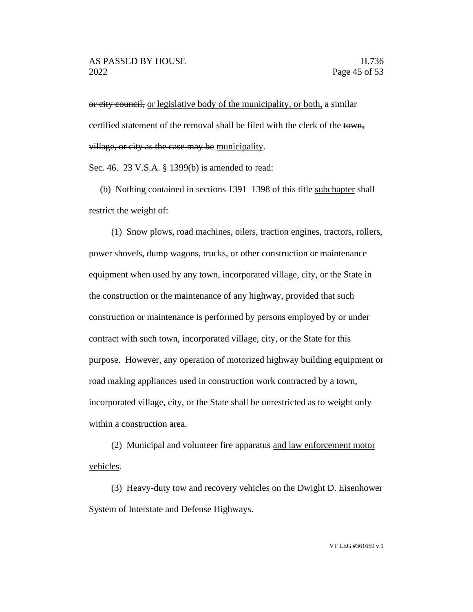or city council, or legislative body of the municipality, or both, a similar certified statement of the removal shall be filed with the clerk of the town, village, or city as the case may be municipality.

Sec. 46. 23 V.S.A. § 1399(b) is amended to read:

(b) Nothing contained in sections 1391–1398 of this title subchapter shall restrict the weight of:

(1) Snow plows, road machines, oilers, traction engines, tractors, rollers, power shovels, dump wagons, trucks, or other construction or maintenance equipment when used by any town, incorporated village, city, or the State in the construction or the maintenance of any highway, provided that such construction or maintenance is performed by persons employed by or under contract with such town, incorporated village, city, or the State for this purpose. However, any operation of motorized highway building equipment or road making appliances used in construction work contracted by a town, incorporated village, city, or the State shall be unrestricted as to weight only within a construction area.

(2) Municipal and volunteer fire apparatus and law enforcement motor vehicles.

(3) Heavy-duty tow and recovery vehicles on the Dwight D. Eisenhower System of Interstate and Defense Highways.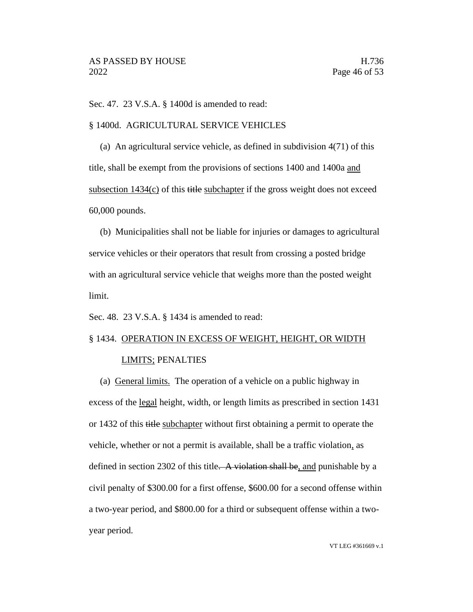Sec. 47. 23 V.S.A. § 1400d is amended to read:

#### § 1400d. AGRICULTURAL SERVICE VEHICLES

(a) An agricultural service vehicle, as defined in subdivision 4(71) of this title, shall be exempt from the provisions of sections 1400 and 1400a and subsection  $1434(c)$  of this title subchapter if the gross weight does not exceed 60,000 pounds.

(b) Municipalities shall not be liable for injuries or damages to agricultural service vehicles or their operators that result from crossing a posted bridge with an agricultural service vehicle that weighs more than the posted weight limit.

Sec. 48. 23 V.S.A. § 1434 is amended to read:

# § 1434. OPERATION IN EXCESS OF WEIGHT, HEIGHT, OR WIDTH LIMITS; PENALTIES

(a) General limits. The operation of a vehicle on a public highway in excess of the legal height, width, or length limits as prescribed in section 1431 or 1432 of this title subchapter without first obtaining a permit to operate the vehicle, whether or not a permit is available, shall be a traffic violation, as defined in section 2302 of this title. A violation shall be, and punishable by a civil penalty of \$300.00 for a first offense, \$600.00 for a second offense within a two-year period, and \$800.00 for a third or subsequent offense within a twoyear period.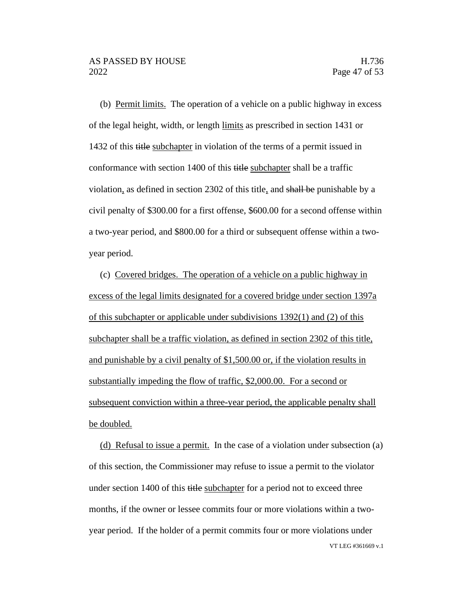(b) Permit limits. The operation of a vehicle on a public highway in excess of the legal height, width, or length limits as prescribed in section 1431 or 1432 of this title subchapter in violation of the terms of a permit issued in conformance with section 1400 of this title subchapter shall be a traffic violation, as defined in section 2302 of this title, and shall be punishable by a civil penalty of \$300.00 for a first offense, \$600.00 for a second offense within a two-year period, and \$800.00 for a third or subsequent offense within a twoyear period.

(c) Covered bridges. The operation of a vehicle on a public highway in excess of the legal limits designated for a covered bridge under section 1397a of this subchapter or applicable under subdivisions 1392(1) and (2) of this subchapter shall be a traffic violation, as defined in section 2302 of this title, and punishable by a civil penalty of \$1,500.00 or, if the violation results in substantially impeding the flow of traffic, \$2,000.00. For a second or subsequent conviction within a three-year period, the applicable penalty shall be doubled.

VT LEG #361669 v.1 (d) Refusal to issue a permit. In the case of a violation under subsection (a) of this section, the Commissioner may refuse to issue a permit to the violator under section 1400 of this title subchapter for a period not to exceed three months, if the owner or lessee commits four or more violations within a twoyear period. If the holder of a permit commits four or more violations under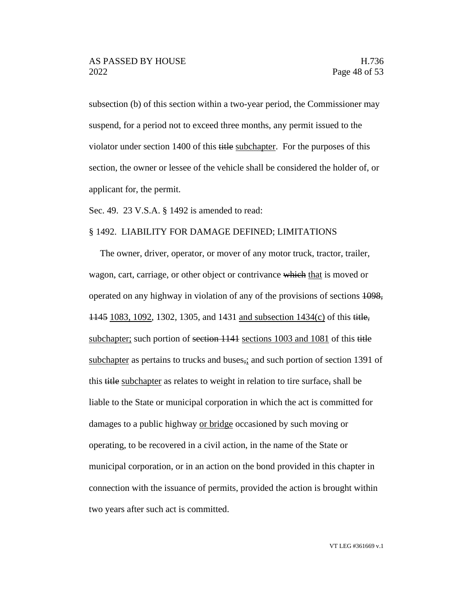subsection (b) of this section within a two-year period, the Commissioner may suspend, for a period not to exceed three months, any permit issued to the violator under section 1400 of this title subchapter. For the purposes of this section, the owner or lessee of the vehicle shall be considered the holder of, or applicant for, the permit.

Sec. 49. 23 V.S.A. § 1492 is amended to read:

#### § 1492. LIABILITY FOR DAMAGE DEFINED; LIMITATIONS

The owner, driver, operator, or mover of any motor truck, tractor, trailer, wagon, cart, carriage, or other object or contrivance which that is moved or operated on any highway in violation of any of the provisions of sections 1098, 1145 1083, 1092, 1302, 1305, and 1431 and subsection 1434(c) of this title, subchapter; such portion of section 1141 sections 1003 and 1081 of this title subchapter as pertains to trucks and buses, and such portion of section 1391 of this title subchapter as relates to weight in relation to tire surface, shall be liable to the State or municipal corporation in which the act is committed for damages to a public highway or bridge occasioned by such moving or operating, to be recovered in a civil action, in the name of the State or municipal corporation, or in an action on the bond provided in this chapter in connection with the issuance of permits, provided the action is brought within two years after such act is committed.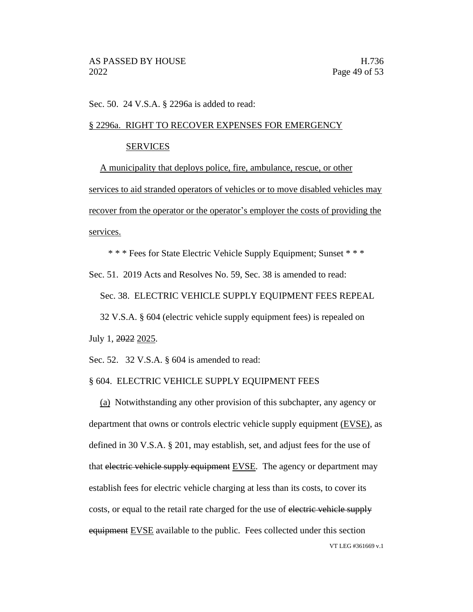Sec. 50. 24 V.S.A. § 2296a is added to read:

#### § 2296a. RIGHT TO RECOVER EXPENSES FOR EMERGENCY

#### **SERVICES**

A municipality that deploys police, fire, ambulance, rescue, or other services to aid stranded operators of vehicles or to move disabled vehicles may recover from the operator or the operator's employer the costs of providing the services.

\* \* \* Fees for State Electric Vehicle Supply Equipment; Sunset \* \* \*

Sec. 51. 2019 Acts and Resolves No. 59, Sec. 38 is amended to read:

Sec. 38. ELECTRIC VEHICLE SUPPLY EQUIPMENT FEES REPEAL

32 V.S.A. § 604 (electric vehicle supply equipment fees) is repealed on

July 1, 2022 2025.

Sec. 52. 32 V.S.A. § 604 is amended to read:

#### § 604. ELECTRIC VEHICLE SUPPLY EQUIPMENT FEES

VT LEG #361669 v.1 (a) Notwithstanding any other provision of this subchapter, any agency or department that owns or controls electric vehicle supply equipment (EVSE), as defined in 30 V.S.A. § 201, may establish, set, and adjust fees for the use of that electric vehicle supply equipment EVSE. The agency or department may establish fees for electric vehicle charging at less than its costs, to cover its costs, or equal to the retail rate charged for the use of electric vehicle supply equipment EVSE available to the public. Fees collected under this section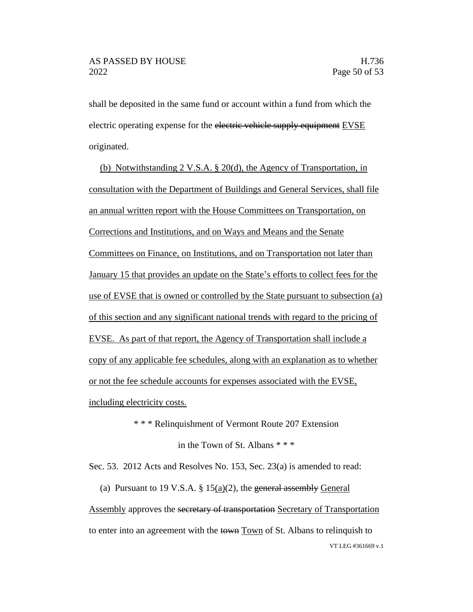shall be deposited in the same fund or account within a fund from which the electric operating expense for the electric vehicle supply equipment EVSE originated.

(b) Notwithstanding 2 V.S.A. § 20(d), the Agency of Transportation, in consultation with the Department of Buildings and General Services, shall file an annual written report with the House Committees on Transportation, on Corrections and Institutions, and on Ways and Means and the Senate Committees on Finance, on Institutions, and on Transportation not later than January 15 that provides an update on the State's efforts to collect fees for the use of EVSE that is owned or controlled by the State pursuant to subsection (a) of this section and any significant national trends with regard to the pricing of EVSE. As part of that report, the Agency of Transportation shall include a copy of any applicable fee schedules, along with an explanation as to whether or not the fee schedule accounts for expenses associated with the EVSE, including electricity costs.

\* \* \* Relinquishment of Vermont Route 207 Extension

in the Town of St. Albans \* \* \*

Sec. 53. 2012 Acts and Resolves No. 153, Sec. 23(a) is amended to read:

VT LEG #361669 v.1 (a) Pursuant to 19 V.S.A.  $\S 15(a)(2)$ , the general assembly General Assembly approves the secretary of transportation Secretary of Transportation to enter into an agreement with the town Town of St. Albans to relinquish to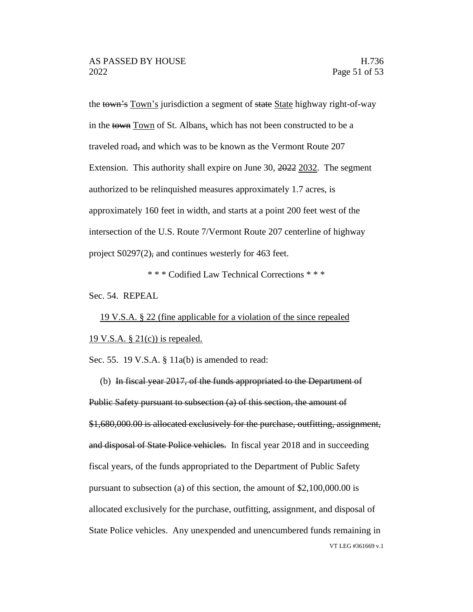the town's Town's jurisdiction a segment of state State highway right-of-way in the town Town of St. Albans, which has not been constructed to be a traveled road, and which was to be known as the Vermont Route 207 Extension. This authority shall expire on June 30, 2022 2032. The segment authorized to be relinquished measures approximately 1.7 acres, is approximately 160 feet in width, and starts at a point 200 feet west of the intersection of the U.S. Route 7/Vermont Route 207 centerline of highway project S0297(2), and continues westerly for 463 feet.

\* \* \* Codified Law Technical Corrections \* \* \*

Sec. 54. REPEAL

19 V.S.A. § 22 (fine applicable for a violation of the since repealed 19 V.S.A.  $\S 21(c)$  is repealed.

Sec. 55. 19 V.S.A. § 11a(b) is amended to read:

VT LEG #361669 v.1 (b) In fiscal year 2017, of the funds appropriated to the Department of Public Safety pursuant to subsection (a) of this section, the amount of \$1,680,000.00 is allocated exclusively for the purchase, outfitting, assignment, and disposal of State Police vehicles. In fiscal year 2018 and in succeeding fiscal years, of the funds appropriated to the Department of Public Safety pursuant to subsection (a) of this section, the amount of \$2,100,000.00 is allocated exclusively for the purchase, outfitting, assignment, and disposal of State Police vehicles. Any unexpended and unencumbered funds remaining in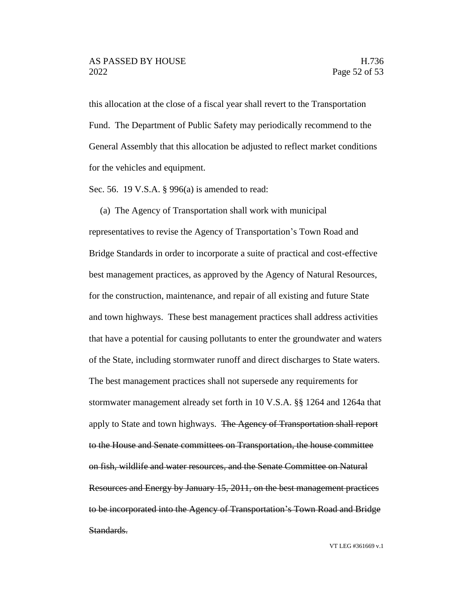this allocation at the close of a fiscal year shall revert to the Transportation Fund. The Department of Public Safety may periodically recommend to the General Assembly that this allocation be adjusted to reflect market conditions for the vehicles and equipment.

Sec. 56. 19 V.S.A. § 996(a) is amended to read:

(a) The Agency of Transportation shall work with municipal representatives to revise the Agency of Transportation's Town Road and Bridge Standards in order to incorporate a suite of practical and cost-effective best management practices, as approved by the Agency of Natural Resources, for the construction, maintenance, and repair of all existing and future State and town highways. These best management practices shall address activities that have a potential for causing pollutants to enter the groundwater and waters of the State, including stormwater runoff and direct discharges to State waters. The best management practices shall not supersede any requirements for stormwater management already set forth in 10 V.S.A. §§ 1264 and 1264a that apply to State and town highways. The Agency of Transportation shall report to the House and Senate committees on Transportation, the house committee on fish, wildlife and water resources, and the Senate Committee on Natural Resources and Energy by January 15, 2011, on the best management practices to be incorporated into the Agency of Transportation's Town Road and Bridge Standards.